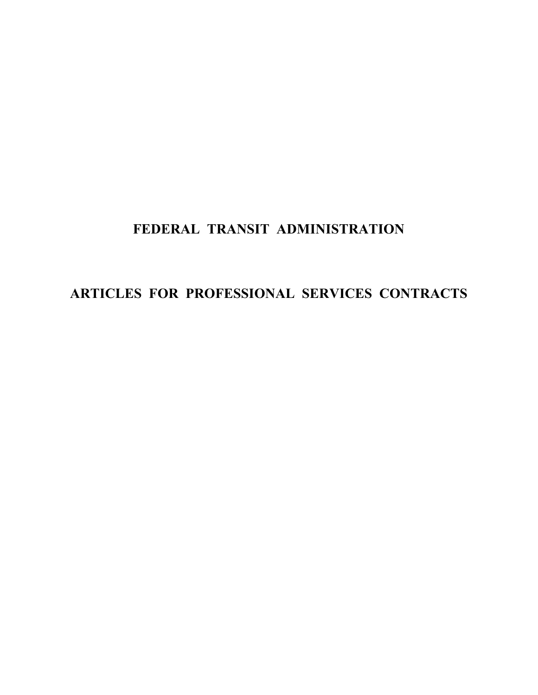## **FEDERAL TRANSIT ADMINISTRATION**

**ARTICLES FOR PROFESSIONAL SERVICES CONTRACTS**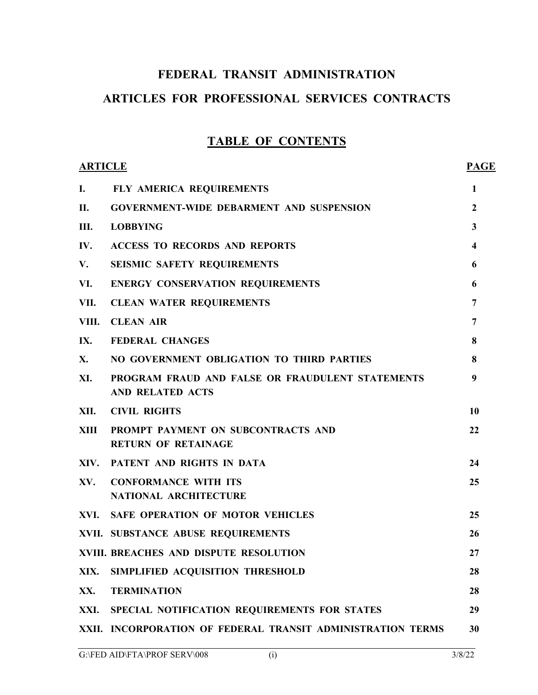# **FEDERAL TRANSIT ADMINISTRATION ARTICLES FOR PROFESSIONAL SERVICES CONTRACTS**

#### **TABLE OF CONTENTS**

| <b>ARTICLE</b> |                                                                             | <b>PAGE</b>      |
|----------------|-----------------------------------------------------------------------------|------------------|
| $\mathbf{I}$ . | FLY AMERICA REQUIREMENTS                                                    | 1                |
| II.            | <b>GOVERNMENT-WIDE DEBARMENT AND SUSPENSION</b>                             | $\boldsymbol{2}$ |
| Ш.             | <b>LOBBYING</b>                                                             | 3                |
| IV.            | <b>ACCESS TO RECORDS AND REPORTS</b>                                        | 4                |
| V.             | <b>SEISMIC SAFETY REQUIREMENTS</b>                                          | 6                |
| VI.            | <b>ENERGY CONSERVATION REQUIREMENTS</b>                                     | 6                |
| VII.           | <b>CLEAN WATER REQUIREMENTS</b>                                             | 7                |
| VIII.          | <b>CLEAN AIR</b>                                                            | 7                |
| IX.            | <b>FEDERAL CHANGES</b>                                                      | 8                |
| X.             | NO GOVERNMENT OBLIGATION TO THIRD PARTIES                                   | 8                |
| XI.            | PROGRAM FRAUD AND FALSE OR FRAUDULENT STATEMENTS<br><b>AND RELATED ACTS</b> | 9                |
| XII.           | <b>CIVIL RIGHTS</b>                                                         | 10               |
| XIII           | PROMPT PAYMENT ON SUBCONTRACTS AND<br><b>RETURN OF RETAINAGE</b>            | 22               |
| XIV.           | PATENT AND RIGHTS IN DATA                                                   | 24               |
| XV.            | <b>CONFORMANCE WITH ITS</b><br><b>NATIONAL ARCHITECTURE</b>                 | 25               |
|                | XVI. SAFE OPERATION OF MOTOR VEHICLES                                       | 25               |
|                | XVII. SUBSTANCE ABUSE REQUIREMENTS                                          | 26               |
|                | XVIII. BREACHES AND DISPUTE RESOLUTION                                      | 27               |
| XIX.           | SIMPLIFIED ACQUISITION THRESHOLD                                            | 28               |
| XX.            | <b>TERMINATION</b>                                                          | 28               |
| XXI.           | SPECIAL NOTIFICATION REQUIREMENTS FOR STATES                                | 29               |
|                | XXII. INCORPORATION OF FEDERAL TRANSIT ADMINISTRATION TERMS                 | 30               |
|                |                                                                             |                  |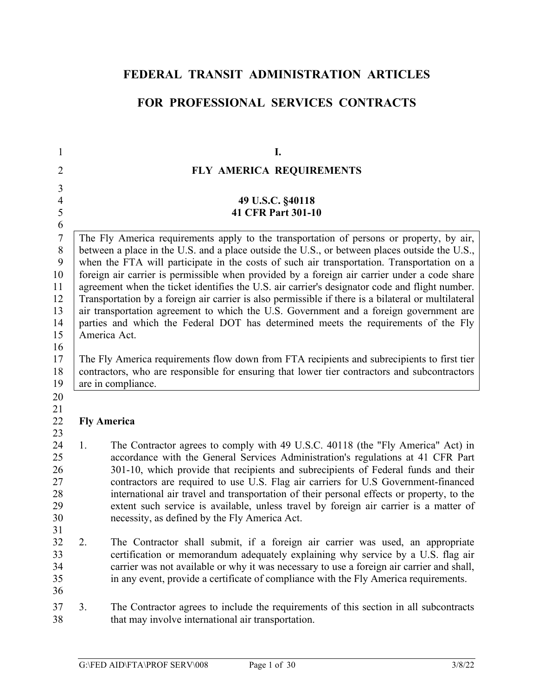### **FEDERAL TRANSIT ADMINISTRATION ARTICLES**

### <span id="page-2-0"></span>**FOR PROFESSIONAL SERVICES CONTRACTS**

| 1           |                          | I.                                                                                                                                                                                          |  |  |  |
|-------------|--------------------------|---------------------------------------------------------------------------------------------------------------------------------------------------------------------------------------------|--|--|--|
| 2           | FLY AMERICA REQUIREMENTS |                                                                                                                                                                                             |  |  |  |
| 3           |                          |                                                                                                                                                                                             |  |  |  |
| 4           |                          | 49 U.S.C. §40118                                                                                                                                                                            |  |  |  |
| 5           |                          | 41 CFR Part 301-10                                                                                                                                                                          |  |  |  |
| 6           |                          |                                                                                                                                                                                             |  |  |  |
| $\tau$      |                          | The Fly America requirements apply to the transportation of persons or property, by air,                                                                                                    |  |  |  |
| $\, 8$<br>9 |                          | between a place in the U.S. and a place outside the U.S., or between places outside the U.S.,<br>when the FTA will participate in the costs of such air transportation. Transportation on a |  |  |  |
| 10          |                          | foreign air carrier is permissible when provided by a foreign air carrier under a code share                                                                                                |  |  |  |
| 11          |                          | agreement when the ticket identifies the U.S. air carrier's designator code and flight number.                                                                                              |  |  |  |
| 12          |                          | Transportation by a foreign air carrier is also permissible if there is a bilateral or multilateral                                                                                         |  |  |  |
| 13          |                          | air transportation agreement to which the U.S. Government and a foreign government are                                                                                                      |  |  |  |
| 14          |                          | parties and which the Federal DOT has determined meets the requirements of the Fly                                                                                                          |  |  |  |
| 15          |                          | America Act.                                                                                                                                                                                |  |  |  |
| 16          |                          |                                                                                                                                                                                             |  |  |  |
| 17<br>18    |                          | The Fly America requirements flow down from FTA recipients and subrecipients to first tier<br>contractors, who are responsible for ensuring that lower tier contractors and subcontractors  |  |  |  |
| 19          |                          | are in compliance.                                                                                                                                                                          |  |  |  |
| 20          |                          |                                                                                                                                                                                             |  |  |  |
| 21          |                          |                                                                                                                                                                                             |  |  |  |
| 22          |                          | <b>Fly America</b>                                                                                                                                                                          |  |  |  |
| 23          |                          |                                                                                                                                                                                             |  |  |  |
| 24          | 1.                       | The Contractor agrees to comply with 49 U.S.C. 40118 (the "Fly America" Act) in                                                                                                             |  |  |  |
| 25          |                          | accordance with the General Services Administration's regulations at 41 CFR Part                                                                                                            |  |  |  |
| 26          |                          | 301-10, which provide that recipients and subrecipients of Federal funds and their                                                                                                          |  |  |  |
| 27          |                          | contractors are required to use U.S. Flag air carriers for U.S Government-financed                                                                                                          |  |  |  |
| 28          |                          | international air travel and transportation of their personal effects or property, to the                                                                                                   |  |  |  |
| 29          |                          | extent such service is available, unless travel by foreign air carrier is a matter of                                                                                                       |  |  |  |
| 30          |                          | necessity, as defined by the Fly America Act.                                                                                                                                               |  |  |  |
| 31          |                          |                                                                                                                                                                                             |  |  |  |
| 32          | 2.                       | The Contractor shall submit, if a foreign air carrier was used, an appropriate                                                                                                              |  |  |  |
| 33          |                          | certification or memorandum adequately explaining why service by a U.S. flag air                                                                                                            |  |  |  |
| 34          |                          | carrier was not available or why it was necessary to use a foreign air carrier and shall,                                                                                                   |  |  |  |
| 35          |                          | in any event, provide a certificate of compliance with the Fly America requirements.                                                                                                        |  |  |  |
| 36          |                          |                                                                                                                                                                                             |  |  |  |
| 37<br>38    | 3.                       | The Contractor agrees to include the requirements of this section in all subcontracts<br>that may involve international air transportation.                                                 |  |  |  |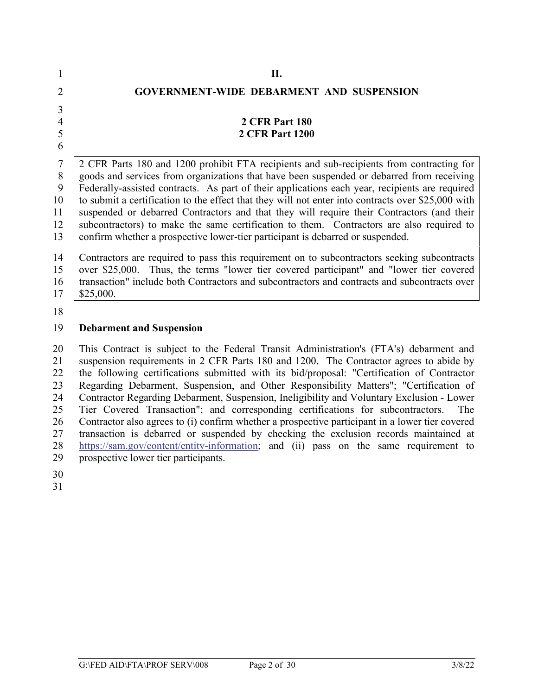<span id="page-3-0"></span>

| 1  | П.                                                                                                 |
|----|----------------------------------------------------------------------------------------------------|
| 2  | <b>GOVERNMENT-WIDE DEBARMENT AND SUSPENSION</b>                                                    |
| 3  |                                                                                                    |
| 4  | <b>2 CFR Part 180</b>                                                                              |
| 5  | <b>2 CFR Part 1200</b>                                                                             |
| 6  |                                                                                                    |
| 7  | 2 CFR Parts 180 and 1200 prohibit FTA recipients and sub-recipients from contracting for           |
| 8  | goods and services from organizations that have been suspended or debarred from receiving          |
| 9  | Federally-assisted contracts. As part of their applications each year, recipients are required     |
| 10 | to submit a certification to the effect that they will not enter into contracts over \$25,000 with |
| 11 | suspended or debarred Contractors and that they will require their Contractors (and their          |
| 12 | subcontractors) to make the same certification to them. Contractors are also required to           |
| 13 | confirm whether a prospective lower-tier participant is debarred or suspended.                     |
|    |                                                                                                    |
| 14 | Contractors are required to pass this requirement on to subcontractors seeking subcontracts        |
| 15 | over \$25,000. Thus, the terms "lower tier covered participant" and "lower tier covered            |
| 16 | transaction" include both Contractors and subcontractors and contracts and subcontracts over       |
| 17 | \$25,000.                                                                                          |
| 18 |                                                                                                    |
| 19 | <b>Debarment and Suspension</b>                                                                    |

20 This Contract is subject to the Federal Transit Administration's (FTA's) debarment and 21 suspension requirements in 2 CFR Parts 180 and 1200. The Contractor agrees to abide by 22 the following certifications submitted with its bid/proposal: "Certification of Contractor 23 Regarding Debarment, Suspension, and Other Responsibility Matters"; "Certification of 24 Contractor Regarding Debarment, Suspension, Ineligibility and Voluntary Exclusion - Lower 25 Tier Covered Transaction"; and corresponding certifications for subcontractors. The 26 Contractor also agrees to (i) confirm whether a prospective participant in a lower tier covered 27 transaction is debarred or suspended by checking the exclusion records maintained at 28 [https://sam.gov/content/entity-information;](https://sam.gov/content/entity-information) and (ii) pass on the same requirement to 29 prospective lower tier participants.

- 30
- 31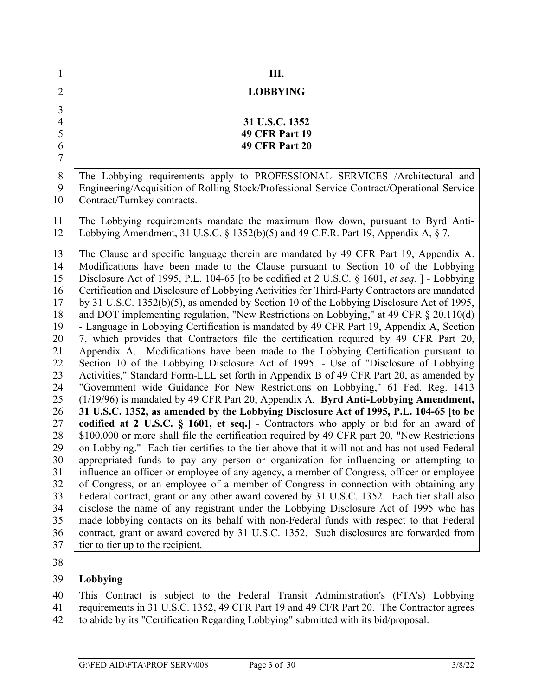<span id="page-4-0"></span>

| $\mathbf{1}$                            | Ш.                                                                                            |
|-----------------------------------------|-----------------------------------------------------------------------------------------------|
| $\overline{2}$                          | <b>LOBBYING</b>                                                                               |
| 3<br>$\overline{4}$<br>5<br>6<br>$\tau$ | 31 U.S.C. 1352<br><b>49 CFR Part 19</b><br><b>49 CFR Part 20</b>                              |
| 8                                       | The Lobbying requirements apply to PROFESSIONAL SERVICES /Architectural and                   |
| 9                                       | Engineering/Acquisition of Rolling Stock/Professional Service Contract/Operational Service    |
| 10                                      | Contract/Turnkey contracts.                                                                   |
| 11                                      | The Lobbying requirements mandate the maximum flow down, pursuant to Byrd Anti-               |
| 12                                      | Lobbying Amendment, 31 U.S.C. § 1352(b)(5) and 49 C.F.R. Part 19, Appendix A, § 7.            |
| 13                                      | The Clause and specific language therein are mandated by 49 CFR Part 19, Appendix A.          |
| 14                                      | Modifications have been made to the Clause pursuant to Section 10 of the Lobbying             |
| 15                                      | Disclosure Act of 1995, P.L. 104-65 [to be codified at 2 U.S.C. § 1601, et seq. ] - Lobbying  |
| 16                                      | Certification and Disclosure of Lobbying Activities for Third-Party Contractors are mandated  |
| 17                                      | by 31 U.S.C. 1352(b)(5), as amended by Section 10 of the Lobbying Disclosure Act of 1995,     |
| 18                                      | and DOT implementing regulation, "New Restrictions on Lobbying," at 49 CFR § 20.110(d)        |
| 19                                      | - Language in Lobbying Certification is mandated by 49 CFR Part 19, Appendix A, Section       |
| 20                                      | 7, which provides that Contractors file the certification required by 49 CFR Part 20,         |
| 21                                      | Appendix A. Modifications have been made to the Lobbying Certification pursuant to            |
| 22                                      | Section 10 of the Lobbying Disclosure Act of 1995. - Use of "Disclosure of Lobbying           |
| 23                                      | Activities," Standard Form-LLL set forth in Appendix B of 49 CFR Part 20, as amended by       |
| 24                                      | "Government wide Guidance For New Restrictions on Lobbying," 61 Fed. Reg. 1413                |
| 25                                      | $(1/19/96)$ is mandated by 49 CFR Part 20, Appendix A. Byrd Anti-Lobbying Amendment,          |
| 26                                      | 31 U.S.C. 1352, as amended by the Lobbying Disclosure Act of 1995, P.L. 104-65 [to be         |
| 27                                      | codified at 2 U.S.C. § 1601, et seq.] - Contractors who apply or bid for an award of          |
| 28                                      | \$100,000 or more shall file the certification required by 49 CFR part 20, "New Restrictions" |
| 29                                      | on Lobbying." Each tier certifies to the tier above that it will not and has not used Federal |
| 30                                      | appropriated funds to pay any person or organization for influencing or attempting to         |
| 31                                      | influence an officer or employee of any agency, a member of Congress, officer or employee     |
| 32                                      | of Congress, or an employee of a member of Congress in connection with obtaining any          |
| 33                                      | Federal contract, grant or any other award covered by 31 U.S.C. 1352. Each tier shall also    |
| 34                                      | disclose the name of any registrant under the Lobbying Disclosure Act of 1995 who has         |
| 35                                      | made lobbying contacts on its behalf with non-Federal funds with respect to that Federal      |
| 36                                      | contract, grant or award covered by 31 U.S.C. 1352. Such disclosures are forwarded from       |
| 37                                      | tier to tier up to the recipient.                                                             |
| 38                                      |                                                                                               |

#### 39 **Lobbying**

40 This Contract is subject to the Federal Transit Administration's (FTA's) Lobbying requirements in 31 U.S.C. 1352, 49 CFR Part 19 and 49 CFR Part 20. The Contractor agrees 41 requirements in 31 U.S.C. 1352, 49 CFR Part 19 and 49 CFR Part 20. The Contractor agrees<br>42 to abide by its "Certification Regarding Lobbying" submitted with its bid/proposal. to abide by its "Certification Regarding Lobbying" submitted with its bid/proposal.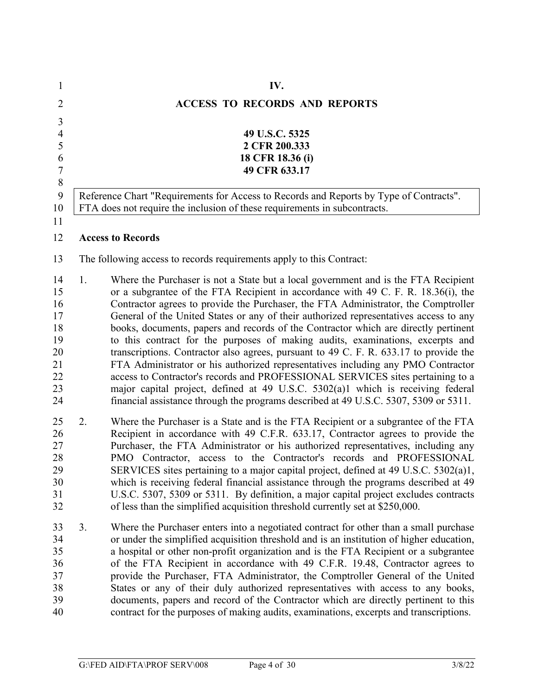<span id="page-5-0"></span>

| 1                                                                          | IV.                                                                                                                                                                                                                                                                                                                                                                                                                                                                                                                                                                                                                                                                                                                                                                                                                                                                                                                                                                             |  |  |  |  |  |
|----------------------------------------------------------------------------|---------------------------------------------------------------------------------------------------------------------------------------------------------------------------------------------------------------------------------------------------------------------------------------------------------------------------------------------------------------------------------------------------------------------------------------------------------------------------------------------------------------------------------------------------------------------------------------------------------------------------------------------------------------------------------------------------------------------------------------------------------------------------------------------------------------------------------------------------------------------------------------------------------------------------------------------------------------------------------|--|--|--|--|--|
| $\overline{2}$                                                             | <b>ACCESS TO RECORDS AND REPORTS</b>                                                                                                                                                                                                                                                                                                                                                                                                                                                                                                                                                                                                                                                                                                                                                                                                                                                                                                                                            |  |  |  |  |  |
| 3<br>$\overline{4}$<br>5<br>$\boldsymbol{6}$<br>$\boldsymbol{7}$<br>$\, 8$ | 49 U.S.C. 5325<br>2 CFR 200.333<br>18 CFR 18.36 (i)<br>49 CFR 633.17                                                                                                                                                                                                                                                                                                                                                                                                                                                                                                                                                                                                                                                                                                                                                                                                                                                                                                            |  |  |  |  |  |
| $\overline{9}$<br>10                                                       | Reference Chart "Requirements for Access to Records and Reports by Type of Contracts".<br>FTA does not require the inclusion of these requirements in subcontracts.                                                                                                                                                                                                                                                                                                                                                                                                                                                                                                                                                                                                                                                                                                                                                                                                             |  |  |  |  |  |
| 11<br>12                                                                   | <b>Access to Records</b>                                                                                                                                                                                                                                                                                                                                                                                                                                                                                                                                                                                                                                                                                                                                                                                                                                                                                                                                                        |  |  |  |  |  |
| 13                                                                         | The following access to records requirements apply to this Contract:                                                                                                                                                                                                                                                                                                                                                                                                                                                                                                                                                                                                                                                                                                                                                                                                                                                                                                            |  |  |  |  |  |
| 14<br>15<br>16<br>17<br>18<br>19<br>20<br>21<br>22<br>23<br>24             | 1.<br>Where the Purchaser is not a State but a local government and is the FTA Recipient<br>or a subgrantee of the FTA Recipient in accordance with 49 C. F. R. 18.36(i), the<br>Contractor agrees to provide the Purchaser, the FTA Administrator, the Comptroller<br>General of the United States or any of their authorized representatives access to any<br>books, documents, papers and records of the Contractor which are directly pertinent<br>to this contract for the purposes of making audits, examinations, excerpts and<br>transcriptions. Contractor also agrees, pursuant to 49 C. F. R. 633.17 to provide the<br>FTA Administrator or his authorized representatives including any PMO Contractor<br>access to Contractor's records and PROFESSIONAL SERVICES sites pertaining to a<br>major capital project, defined at 49 U.S.C. 5302(a)1 which is receiving federal<br>financial assistance through the programs described at 49 U.S.C. 5307, 5309 or 5311. |  |  |  |  |  |
| 25<br>26<br>27<br>28<br>29<br>30<br>31<br>32                               | 2.<br>Where the Purchaser is a State and is the FTA Recipient or a subgrantee of the FTA<br>Recipient in accordance with 49 C.F.R. 633.17, Contractor agrees to provide the<br>Purchaser, the FTA Administrator or his authorized representatives, including any<br>PMO Contractor, access to the Contractor's records and PROFESSIONAL<br>SERVICES sites pertaining to a major capital project, defined at 49 U.S.C. 5302(a)1,<br>which is receiving federal financial assistance through the programs described at 49<br>U.S.C. 5307, 5309 or 5311. By definition, a major capital project excludes contracts<br>of less than the simplified acquisition threshold currently set at \$250,000.                                                                                                                                                                                                                                                                                |  |  |  |  |  |
| 33<br>34<br>35<br>36<br>37<br>38<br>39<br>40                               | 3.<br>Where the Purchaser enters into a negotiated contract for other than a small purchase<br>or under the simplified acquisition threshold and is an institution of higher education,<br>a hospital or other non-profit organization and is the FTA Recipient or a subgrantee<br>of the FTA Recipient in accordance with 49 C.F.R. 19.48, Contractor agrees to<br>provide the Purchaser, FTA Administrator, the Comptroller General of the United<br>States or any of their duly authorized representatives with access to any books,<br>documents, papers and record of the Contractor which are directly pertinent to this<br>contract for the purposes of making audits, examinations, excerpts and transcriptions.                                                                                                                                                                                                                                                        |  |  |  |  |  |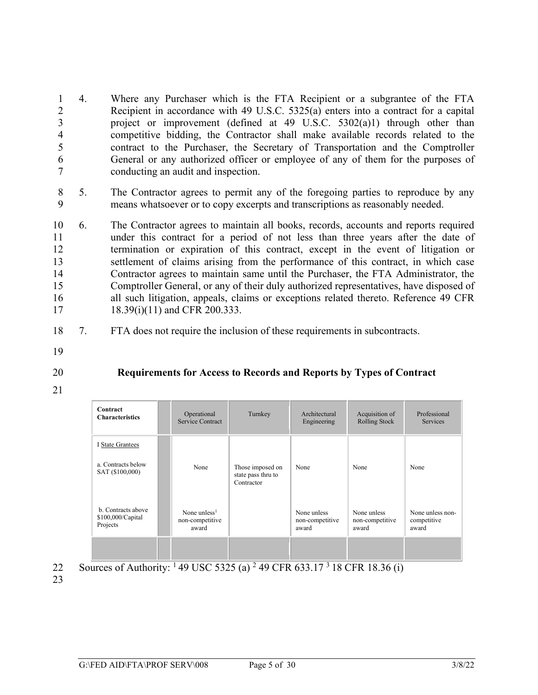- 1 4. Where any Purchaser which is the FTA Recipient or a subgrantee of the FTA 2 Recipient in accordance with 49 U.S.C. 5325(a) enters into a contract for a capital 3 project or improvement (defined at 49 U.S.C. 5302(a)1) through other than 4 competitive bidding, the Contractor shall make available records related to the 5 contract to the Purchaser, the Secretary of Transportation and the Comptroller 6 General or any authorized officer or employee of any of them for the purposes of 7 conducting an audit and inspection.
- 8 5. The Contractor agrees to permit any of the foregoing parties to reproduce by any 9 means whatsoever or to copy excerpts and transcriptions as reasonably needed.
- 10 6. The Contractor agrees to maintain all books, records, accounts and reports required 11 under this contract for a period of not less than three years after the date of 12 termination or expiration of this contract, except in the event of litigation or 13 settlement of claims arising from the performance of this contract, in which case 14 Contractor agrees to maintain same until the Purchaser, the FTA Administrator, the 15 Comptroller General, or any of their duly authorized representatives, have disposed of 16 all such litigation, appeals, claims or exceptions related thereto. Reference 49 CFR 17 18.39(i)(11) and CFR 200.333.
- 18 7. FTA does not require the inclusion of these requirements in subcontracts.
- 19

#### 20 **Requirements for Access to Records and Reports by Types of Contract**

21

| Contract<br><b>Characteristics</b>                  | Operational<br>Service Contract                      | Turnkey                                              | Architectural<br>Engineering            | Acquisition of<br><b>Rolling Stock</b>  | Professional<br>Services                 |
|-----------------------------------------------------|------------------------------------------------------|------------------------------------------------------|-----------------------------------------|-----------------------------------------|------------------------------------------|
| I State Grantees                                    |                                                      |                                                      |                                         |                                         |                                          |
| a. Contracts below<br>SAT (\$100,000)               | None                                                 | Those imposed on<br>state pass thru to<br>Contractor | None                                    | None                                    | None                                     |
| b. Contracts above<br>\$100,000/Capital<br>Projects | None unless <sup>1</sup><br>non-competitive<br>award |                                                      | None unless<br>non-competitive<br>award | None unless<br>non-competitive<br>award | None unless non-<br>competitive<br>award |
|                                                     |                                                      |                                                      |                                         |                                         |                                          |

- 22 Sources of Authority: <sup>1</sup> 49 USC 5325 (a) <sup>2</sup> 49 CFR 633.17<sup>3</sup> 18 CFR 18.36 (i)
- 23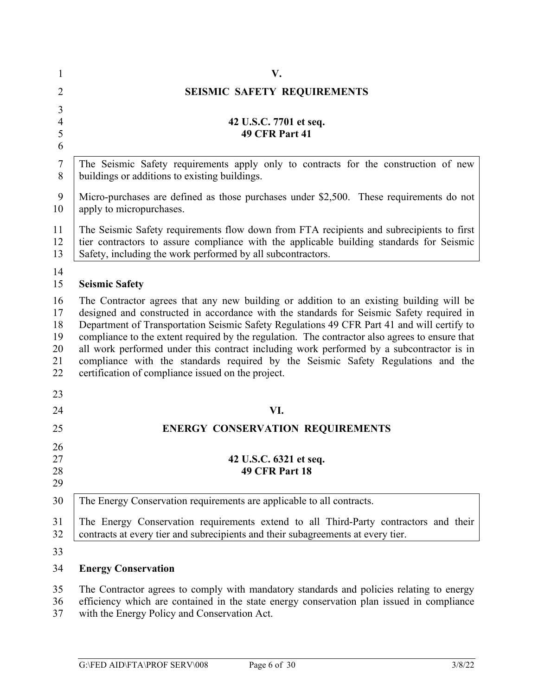<span id="page-7-0"></span>

| 1                                      | V.                                                                                                                                                                                                                                                                                                                                                                                                                                                                                                                                                                                                                        |
|----------------------------------------|---------------------------------------------------------------------------------------------------------------------------------------------------------------------------------------------------------------------------------------------------------------------------------------------------------------------------------------------------------------------------------------------------------------------------------------------------------------------------------------------------------------------------------------------------------------------------------------------------------------------------|
| $\overline{2}$                         | <b>SEISMIC SAFETY REQUIREMENTS</b>                                                                                                                                                                                                                                                                                                                                                                                                                                                                                                                                                                                        |
| 3<br>4<br>5<br>6                       | 42 U.S.C. 7701 et seq.<br><b>49 CFR Part 41</b>                                                                                                                                                                                                                                                                                                                                                                                                                                                                                                                                                                           |
| $\tau$<br>8                            | The Seismic Safety requirements apply only to contracts for the construction of new<br>buildings or additions to existing buildings.                                                                                                                                                                                                                                                                                                                                                                                                                                                                                      |
| 9<br>10                                | Micro-purchases are defined as those purchases under \$2,500. These requirements do not<br>apply to micropurchases.                                                                                                                                                                                                                                                                                                                                                                                                                                                                                                       |
| 11<br>12<br>13                         | The Seismic Safety requirements flow down from FTA recipients and subrecipients to first<br>tier contractors to assure compliance with the applicable building standards for Seismic<br>Safety, including the work performed by all subcontractors.                                                                                                                                                                                                                                                                                                                                                                       |
| 14<br>15                               | <b>Seismic Safety</b>                                                                                                                                                                                                                                                                                                                                                                                                                                                                                                                                                                                                     |
| 16<br>17<br>18<br>19<br>20<br>21<br>22 | The Contractor agrees that any new building or addition to an existing building will be<br>designed and constructed in accordance with the standards for Seismic Safety required in<br>Department of Transportation Seismic Safety Regulations 49 CFR Part 41 and will certify to<br>compliance to the extent required by the regulation. The contractor also agrees to ensure that<br>all work performed under this contract including work performed by a subcontractor is in<br>compliance with the standards required by the Seismic Safety Regulations and the<br>certification of compliance issued on the project. |
| 23                                     |                                                                                                                                                                                                                                                                                                                                                                                                                                                                                                                                                                                                                           |
| 24                                     | VI.                                                                                                                                                                                                                                                                                                                                                                                                                                                                                                                                                                                                                       |
| 25                                     | <b>ENERGY CONSERVATION REQUIREMENTS</b>                                                                                                                                                                                                                                                                                                                                                                                                                                                                                                                                                                                   |
| 26<br>27<br>28<br>29                   | 42 U.S.C. 6321 et seq.<br><b>49 CFR Part 18</b>                                                                                                                                                                                                                                                                                                                                                                                                                                                                                                                                                                           |
| 30                                     | The Energy Conservation requirements are applicable to all contracts.                                                                                                                                                                                                                                                                                                                                                                                                                                                                                                                                                     |
| 31<br>32                               | The Energy Conservation requirements extend to all Third-Party contractors and their<br>contracts at every tier and subrecipients and their subagreements at every tier.                                                                                                                                                                                                                                                                                                                                                                                                                                                  |
| 33                                     |                                                                                                                                                                                                                                                                                                                                                                                                                                                                                                                                                                                                                           |
| 34                                     | <b>Energy Conservation</b>                                                                                                                                                                                                                                                                                                                                                                                                                                                                                                                                                                                                |
| 35<br>36                               | The Contractor agrees to comply with mandatory standards and policies relating to energy<br>efficiency which are contained in the state energy conservation plan issued in compliance                                                                                                                                                                                                                                                                                                                                                                                                                                     |

<span id="page-7-1"></span>37 with the Energy Policy and Conservation Act.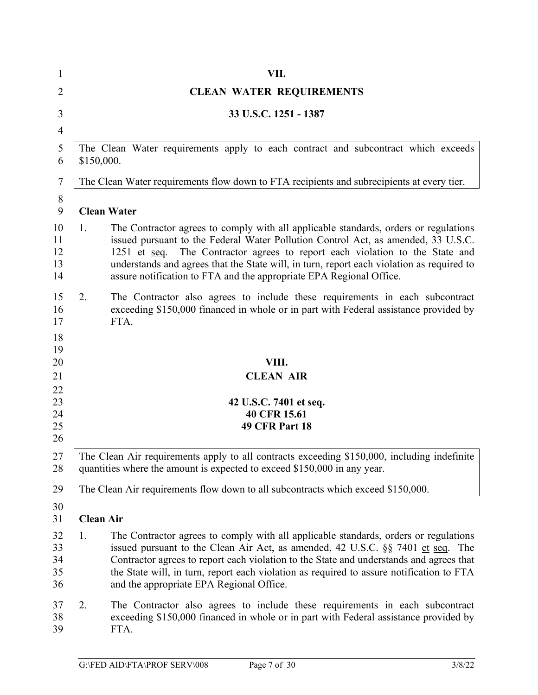<span id="page-8-1"></span><span id="page-8-0"></span>

| 1                                | VII.                                                                                                                                                                                                                                                                                                                                                                                                                                |  |  |  |  |  |  |
|----------------------------------|-------------------------------------------------------------------------------------------------------------------------------------------------------------------------------------------------------------------------------------------------------------------------------------------------------------------------------------------------------------------------------------------------------------------------------------|--|--|--|--|--|--|
| 2                                | <b>CLEAN WATER REQUIREMENTS</b>                                                                                                                                                                                                                                                                                                                                                                                                     |  |  |  |  |  |  |
| 3                                | 33 U.S.C. 1251 - 1387                                                                                                                                                                                                                                                                                                                                                                                                               |  |  |  |  |  |  |
| $\overline{4}$                   |                                                                                                                                                                                                                                                                                                                                                                                                                                     |  |  |  |  |  |  |
| 5<br>6                           | The Clean Water requirements apply to each contract and subcontract which exceeds<br>\$150,000.                                                                                                                                                                                                                                                                                                                                     |  |  |  |  |  |  |
| $\tau$                           | The Clean Water requirements flow down to FTA recipients and subrecipients at every tier.                                                                                                                                                                                                                                                                                                                                           |  |  |  |  |  |  |
| $8\phantom{1}$<br>9              | <b>Clean Water</b>                                                                                                                                                                                                                                                                                                                                                                                                                  |  |  |  |  |  |  |
| 10<br>11<br>12<br>13<br>14       | 1.<br>The Contractor agrees to comply with all applicable standards, orders or regulations<br>issued pursuant to the Federal Water Pollution Control Act, as amended, 33 U.S.C.<br>1251 et seq. The Contractor agrees to report each violation to the State and<br>understands and agrees that the State will, in turn, report each violation as required to<br>assure notification to FTA and the appropriate EPA Regional Office. |  |  |  |  |  |  |
| 15<br>16<br>17                   | 2.<br>The Contractor also agrees to include these requirements in each subcontract<br>exceeding \$150,000 financed in whole or in part with Federal assistance provided by<br>FTA.                                                                                                                                                                                                                                                  |  |  |  |  |  |  |
| 18<br>19<br>20<br>21<br>22<br>23 | VIII.<br><b>CLEAN AIR</b><br>42 U.S.C. 7401 et seq.                                                                                                                                                                                                                                                                                                                                                                                 |  |  |  |  |  |  |
| 24<br>25                         | 40 CFR 15.61<br><b>49 CFR Part 18</b>                                                                                                                                                                                                                                                                                                                                                                                               |  |  |  |  |  |  |
| 26                               |                                                                                                                                                                                                                                                                                                                                                                                                                                     |  |  |  |  |  |  |
| 27<br>28                         | The Clean Air requirements apply to all contracts exceeding \$150,000, including indefinite<br>quantities where the amount is expected to exceed \$150,000 in any year.                                                                                                                                                                                                                                                             |  |  |  |  |  |  |
| 29                               | The Clean Air requirements flow down to all subcontracts which exceed \$150,000.                                                                                                                                                                                                                                                                                                                                                    |  |  |  |  |  |  |
| 30<br>31                         | <b>Clean Air</b>                                                                                                                                                                                                                                                                                                                                                                                                                    |  |  |  |  |  |  |
| 32<br>33<br>34<br>35<br>36       | 1.<br>The Contractor agrees to comply with all applicable standards, orders or regulations<br>issued pursuant to the Clean Air Act, as amended, 42 U.S.C. §§ 7401 et seq. The<br>Contractor agrees to report each violation to the State and understands and agrees that<br>the State will, in turn, report each violation as required to assure notification to FTA<br>and the appropriate EPA Regional Office.                    |  |  |  |  |  |  |
| 37<br>38<br>39                   | 2.<br>The Contractor also agrees to include these requirements in each subcontract<br>exceeding \$150,000 financed in whole or in part with Federal assistance provided by<br>FTA.                                                                                                                                                                                                                                                  |  |  |  |  |  |  |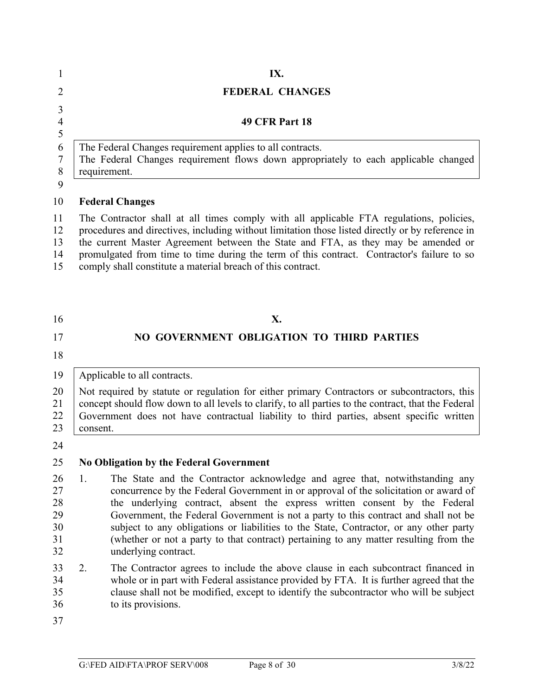<span id="page-9-0"></span>

|                | IX.                                                                                                                                                                                                                                                                              |
|----------------|----------------------------------------------------------------------------------------------------------------------------------------------------------------------------------------------------------------------------------------------------------------------------------|
|                | <b>FEDERAL CHANGES</b>                                                                                                                                                                                                                                                           |
|                | <b>49 CFR Part 18</b>                                                                                                                                                                                                                                                            |
| 6<br>8         | The Federal Changes requirement applies to all contracts.<br>The Federal Changes requirement flows down appropriately to each applicable changed<br>requirement.                                                                                                                 |
| 9              |                                                                                                                                                                                                                                                                                  |
| 10             | <b>Federal Changes</b>                                                                                                                                                                                                                                                           |
| 11<br>12<br>13 | The Contractor shall at all times comply with all applicable FTA regulations, policies,<br>procedures and directives, including without limitation those listed directly or by reference in<br>the current Master Agreement between the State and FTA, as they may be amended or |

14 promulgated from time to time during the term of this contract. Contractor's failure to so

15 comply shall constitute a material breach of this contract.

<span id="page-9-1"></span>

| 16                                     | X.                                                                                                                                                                                                                                                                                                                                                                                                                                                                                                                                                         |  |  |
|----------------------------------------|------------------------------------------------------------------------------------------------------------------------------------------------------------------------------------------------------------------------------------------------------------------------------------------------------------------------------------------------------------------------------------------------------------------------------------------------------------------------------------------------------------------------------------------------------------|--|--|
| 17                                     | NO GOVERNMENT OBLIGATION TO THIRD PARTIES                                                                                                                                                                                                                                                                                                                                                                                                                                                                                                                  |  |  |
| 18                                     |                                                                                                                                                                                                                                                                                                                                                                                                                                                                                                                                                            |  |  |
| 19                                     | Applicable to all contracts.                                                                                                                                                                                                                                                                                                                                                                                                                                                                                                                               |  |  |
| 20<br>21<br>22<br>23                   | Not required by statute or regulation for either primary Contractors or subcontractors, this<br>concept should flow down to all levels to clarify, to all parties to the contract, that the Federal<br>Government does not have contractual liability to third parties, absent specific written<br>consent.                                                                                                                                                                                                                                                |  |  |
| 24                                     |                                                                                                                                                                                                                                                                                                                                                                                                                                                                                                                                                            |  |  |
| 25                                     | <b>No Obligation by the Federal Government</b>                                                                                                                                                                                                                                                                                                                                                                                                                                                                                                             |  |  |
| 26<br>27<br>28<br>29<br>30<br>31<br>32 | 1.<br>The State and the Contractor acknowledge and agree that, notwithstanding any<br>concurrence by the Federal Government in or approval of the solicitation or award of<br>the underlying contract, absent the express written consent by the Federal<br>Government, the Federal Government is not a party to this contract and shall not be<br>subject to any obligations or liabilities to the State, Contractor, or any other party<br>(whether or not a party to that contract) pertaining to any matter resulting from the<br>underlying contract. |  |  |
| 33<br>34<br>35<br>36<br>37             | 2.<br>The Contractor agrees to include the above clause in each subcontract financed in<br>whole or in part with Federal assistance provided by FTA. It is further agreed that the<br>clause shall not be modified, except to identify the subcontractor who will be subject<br>to its provisions.                                                                                                                                                                                                                                                         |  |  |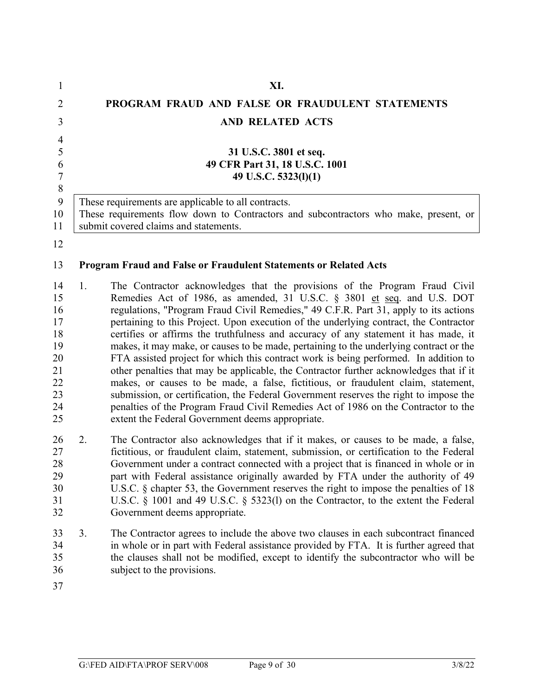<span id="page-10-0"></span>

| $\mathbf{1}$                                                         |                                                                                  | XI.                                                                                                                                                                                                                                                                                                                                                                                                                                                                                                                                                                                                                                                                                                                                                                                                                                                                                                                                                                                                                               |  |  |  |  |
|----------------------------------------------------------------------|----------------------------------------------------------------------------------|-----------------------------------------------------------------------------------------------------------------------------------------------------------------------------------------------------------------------------------------------------------------------------------------------------------------------------------------------------------------------------------------------------------------------------------------------------------------------------------------------------------------------------------------------------------------------------------------------------------------------------------------------------------------------------------------------------------------------------------------------------------------------------------------------------------------------------------------------------------------------------------------------------------------------------------------------------------------------------------------------------------------------------------|--|--|--|--|
| $\overline{2}$                                                       | PROGRAM FRAUD AND FALSE OR FRAUDULENT STATEMENTS                                 |                                                                                                                                                                                                                                                                                                                                                                                                                                                                                                                                                                                                                                                                                                                                                                                                                                                                                                                                                                                                                                   |  |  |  |  |
| 3                                                                    | <b>AND RELATED ACTS</b>                                                          |                                                                                                                                                                                                                                                                                                                                                                                                                                                                                                                                                                                                                                                                                                                                                                                                                                                                                                                                                                                                                                   |  |  |  |  |
| $\overline{4}$<br>5<br>6<br>$\overline{7}$<br>$\,8\,$                | 31 U.S.C. 3801 et seq.<br>49 CFR Part 31, 18 U.S.C. 1001<br>49 U.S.C. 5323(l)(1) |                                                                                                                                                                                                                                                                                                                                                                                                                                                                                                                                                                                                                                                                                                                                                                                                                                                                                                                                                                                                                                   |  |  |  |  |
| 9<br>10<br>11                                                        |                                                                                  | These requirements are applicable to all contracts.<br>These requirements flow down to Contractors and subcontractors who make, present, or<br>submit covered claims and statements.                                                                                                                                                                                                                                                                                                                                                                                                                                                                                                                                                                                                                                                                                                                                                                                                                                              |  |  |  |  |
| 12                                                                   |                                                                                  |                                                                                                                                                                                                                                                                                                                                                                                                                                                                                                                                                                                                                                                                                                                                                                                                                                                                                                                                                                                                                                   |  |  |  |  |
| 13                                                                   |                                                                                  | <b>Program Fraud and False or Fraudulent Statements or Related Acts</b>                                                                                                                                                                                                                                                                                                                                                                                                                                                                                                                                                                                                                                                                                                                                                                                                                                                                                                                                                           |  |  |  |  |
| 14<br>15<br>16<br>17<br>18<br>19<br>20<br>21<br>22<br>23<br>24<br>25 | 1.                                                                               | The Contractor acknowledges that the provisions of the Program Fraud Civil<br>Remedies Act of 1986, as amended, 31 U.S.C. § 3801 et seq. and U.S. DOT<br>regulations, "Program Fraud Civil Remedies," 49 C.F.R. Part 31, apply to its actions<br>pertaining to this Project. Upon execution of the underlying contract, the Contractor<br>certifies or affirms the truthfulness and accuracy of any statement it has made, it<br>makes, it may make, or causes to be made, pertaining to the underlying contract or the<br>FTA assisted project for which this contract work is being performed. In addition to<br>other penalties that may be applicable, the Contractor further acknowledges that if it<br>makes, or causes to be made, a false, fictitious, or fraudulent claim, statement,<br>submission, or certification, the Federal Government reserves the right to impose the<br>penalties of the Program Fraud Civil Remedies Act of 1986 on the Contractor to the<br>extent the Federal Government deems appropriate. |  |  |  |  |
| 26<br>27<br>28<br>29<br>30<br>31<br>32                               | 2.                                                                               | The Contractor also acknowledges that if it makes, or causes to be made, a false,<br>fictitious, or fraudulent claim, statement, submission, or certification to the Federal<br>Government under a contract connected with a project that is financed in whole or in<br>part with Federal assistance originally awarded by FTA under the authority of 49<br>U.S.C. $\S$ chapter 53, the Government reserves the right to impose the penalties of 18<br>U.S.C. $\S$ 1001 and 49 U.S.C. $\S$ 5323(1) on the Contractor, to the extent the Federal<br>Government deems appropriate.                                                                                                                                                                                                                                                                                                                                                                                                                                                  |  |  |  |  |
| 33<br>34<br>35<br>36<br>37                                           | 3.                                                                               | The Contractor agrees to include the above two clauses in each subcontract financed<br>in whole or in part with Federal assistance provided by FTA. It is further agreed that<br>the clauses shall not be modified, except to identify the subcontractor who will be<br>subject to the provisions.                                                                                                                                                                                                                                                                                                                                                                                                                                                                                                                                                                                                                                                                                                                                |  |  |  |  |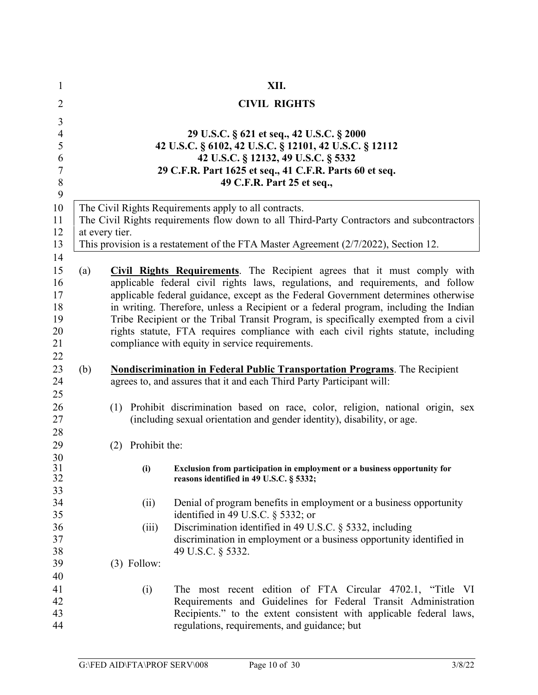<span id="page-11-0"></span>

| $\mathbf{1}$   | XII.                                                                                 |                      |                                                                                                             |  |  |  |
|----------------|--------------------------------------------------------------------------------------|----------------------|-------------------------------------------------------------------------------------------------------------|--|--|--|
| $\overline{2}$ | <b>CIVIL RIGHTS</b>                                                                  |                      |                                                                                                             |  |  |  |
| 3              |                                                                                      |                      |                                                                                                             |  |  |  |
| $\overline{4}$ | 29 U.S.C. § 621 et seq., 42 U.S.C. § 2000                                            |                      |                                                                                                             |  |  |  |
| 5              |                                                                                      |                      | 42 U.S.C. § 6102, 42 U.S.C. § 12101, 42 U.S.C. § 12112                                                      |  |  |  |
| 6              |                                                                                      |                      | 42 U.S.C. § 12132, 49 U.S.C. § 5332                                                                         |  |  |  |
| $\sqrt{ }$     |                                                                                      |                      | 29 C.F.R. Part 1625 et seq., 41 C.F.R. Parts 60 et seq.                                                     |  |  |  |
| 8              |                                                                                      |                      | 49 C.F.R. Part 25 et seq.,                                                                                  |  |  |  |
| 9              |                                                                                      |                      |                                                                                                             |  |  |  |
| 10             |                                                                                      |                      | The Civil Rights Requirements apply to all contracts.                                                       |  |  |  |
| 11             |                                                                                      |                      | The Civil Rights requirements flow down to all Third-Party Contractors and subcontractors                   |  |  |  |
| 12             | at every tier.                                                                       |                      |                                                                                                             |  |  |  |
| 13             |                                                                                      |                      | This provision is a restatement of the FTA Master Agreement (2/7/2022), Section 12.                         |  |  |  |
| 14             |                                                                                      |                      |                                                                                                             |  |  |  |
| 15             | (a)                                                                                  |                      | <b>Civil Rights Requirements</b> . The Recipient agrees that it must comply with                            |  |  |  |
| 16             |                                                                                      |                      | applicable federal civil rights laws, regulations, and requirements, and follow                             |  |  |  |
| 17             |                                                                                      |                      | applicable federal guidance, except as the Federal Government determines otherwise                          |  |  |  |
| 18             |                                                                                      |                      | in writing. Therefore, unless a Recipient or a federal program, including the Indian                        |  |  |  |
| 19             | Tribe Recipient or the Tribal Transit Program, is specifically exempted from a civil |                      |                                                                                                             |  |  |  |
| 20             |                                                                                      |                      | rights statute, FTA requires compliance with each civil rights statute, including                           |  |  |  |
| 21             |                                                                                      |                      | compliance with equity in service requirements.                                                             |  |  |  |
| 22             |                                                                                      |                      |                                                                                                             |  |  |  |
| 23             | (b)                                                                                  |                      | <b>Nondiscrimination in Federal Public Transportation Programs.</b> The Recipient                           |  |  |  |
| 24             |                                                                                      |                      | agrees to, and assures that it and each Third Party Participant will:                                       |  |  |  |
| 25             |                                                                                      |                      |                                                                                                             |  |  |  |
| 26             |                                                                                      |                      | (1) Prohibit discrimination based on race, color, religion, national origin, sex                            |  |  |  |
| 27             |                                                                                      |                      | (including sexual orientation and gender identity), disability, or age.                                     |  |  |  |
| 28             |                                                                                      |                      |                                                                                                             |  |  |  |
| 29             |                                                                                      | Prohibit the:<br>(2) |                                                                                                             |  |  |  |
| 30             |                                                                                      |                      |                                                                                                             |  |  |  |
| 31             |                                                                                      | (i)                  | Exclusion from participation in employment or a business opportunity for                                    |  |  |  |
| 32             |                                                                                      |                      | reasons identified in 49 U.S.C. § 5332;                                                                     |  |  |  |
| 33             |                                                                                      |                      |                                                                                                             |  |  |  |
| 34<br>35       |                                                                                      | (ii)                 | Denial of program benefits in employment or a business opportunity<br>identified in 49 U.S.C. $\S$ 5332; or |  |  |  |
| 36             |                                                                                      | (iii)                | Discrimination identified in 49 U.S.C. § 5332, including                                                    |  |  |  |
| 37             |                                                                                      |                      | discrimination in employment or a business opportunity identified in                                        |  |  |  |
| 38             |                                                                                      |                      | 49 U.S.C. § 5332.                                                                                           |  |  |  |
| 39             |                                                                                      | $(3)$ Follow:        |                                                                                                             |  |  |  |
| 40             |                                                                                      |                      |                                                                                                             |  |  |  |
| 41             |                                                                                      | (i)                  | The most recent edition of FTA Circular 4702.1, "Title VI                                                   |  |  |  |
| 42             |                                                                                      |                      | Requirements and Guidelines for Federal Transit Administration                                              |  |  |  |
| 43             |                                                                                      |                      | Recipients." to the extent consistent with applicable federal laws,                                         |  |  |  |
| 44             |                                                                                      |                      | regulations, requirements, and guidance; but                                                                |  |  |  |
|                |                                                                                      |                      |                                                                                                             |  |  |  |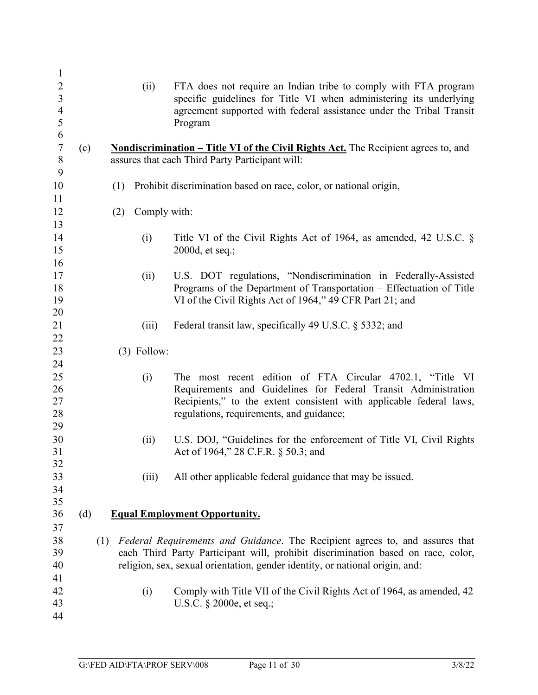| $\mathbf{1}$   |     |     |               |                                                                                           |
|----------------|-----|-----|---------------|-------------------------------------------------------------------------------------------|
| $\overline{2}$ |     |     | (ii)          | FTA does not require an Indian tribe to comply with FTA program                           |
| $\overline{3}$ |     |     |               | specific guidelines for Title VI when administering its underlying                        |
| $\overline{4}$ |     |     |               | agreement supported with federal assistance under the Tribal Transit                      |
| $\sqrt{5}$     |     |     |               | Program                                                                                   |
| $\sqrt{6}$     |     |     |               |                                                                                           |
| $\sqrt{ }$     | (c) |     |               | <b>Nondiscrimination – Title VI of the Civil Rights Act.</b> The Recipient agrees to, and |
| 8              |     |     |               | assures that each Third Party Participant will:                                           |
| 9              |     |     |               |                                                                                           |
| 10             |     | (1) |               | Prohibit discrimination based on race, color, or national origin,                         |
| 11             |     |     |               |                                                                                           |
| 12             |     | (2) | Comply with:  |                                                                                           |
| 13             |     |     |               |                                                                                           |
| 14             |     |     | (i)           | Title VI of the Civil Rights Act of 1964, as amended, 42 U.S.C. $\S$                      |
| 15             |     |     |               | $2000d$ , et seq.;                                                                        |
| 16             |     |     |               |                                                                                           |
| 17             |     |     | (ii)          | U.S. DOT regulations, "Nondiscrimination in Federally-Assisted                            |
| 18             |     |     |               | Programs of the Department of Transportation – Effectuation of Title                      |
| 19             |     |     |               | VI of the Civil Rights Act of 1964," 49 CFR Part 21; and                                  |
| 20             |     |     |               |                                                                                           |
| 21             |     |     | (iii)         | Federal transit law, specifically 49 U.S.C. § 5332; and                                   |
| 22             |     |     |               |                                                                                           |
| 23             |     |     | $(3)$ Follow: |                                                                                           |
| 24             |     |     |               |                                                                                           |
| 25             |     |     | (i)           | The most recent edition of FTA Circular 4702.1, "Title VI                                 |
| 26             |     |     |               | Requirements and Guidelines for Federal Transit Administration                            |
| 27             |     |     |               | Recipients," to the extent consistent with applicable federal laws,                       |
| 28             |     |     |               | regulations, requirements, and guidance;                                                  |
| 29             |     |     |               |                                                                                           |
| 30             |     |     | (ii)          | U.S. DOJ, "Guidelines for the enforcement of Title VI, Civil Rights                       |
| 31             |     |     |               | Act of 1964," 28 C.F.R. § 50.3; and                                                       |
| 32             |     |     |               |                                                                                           |
| 33             |     |     | (iii)         | All other applicable federal guidance that may be issued.                                 |
| 34             |     |     |               |                                                                                           |
| 35             |     |     |               |                                                                                           |
| 36             | (d) |     |               | <b>Equal Employment Opportunity.</b>                                                      |
| 37             |     |     |               |                                                                                           |
| 38             |     |     |               | (1) <i>Federal Requirements and Guidance</i> . The Recipient agrees to, and assures that  |
| 39             |     |     |               | each Third Party Participant will, prohibit discrimination based on race, color,          |
| 40             |     |     |               | religion, sex, sexual orientation, gender identity, or national origin, and:              |
| 41             |     |     |               |                                                                                           |
| 42             |     |     | (i)           | Comply with Title VII of the Civil Rights Act of 1964, as amended, 42                     |
| 43             |     |     |               | U.S.C. § 2000e, et seq.;                                                                  |
| 44             |     |     |               |                                                                                           |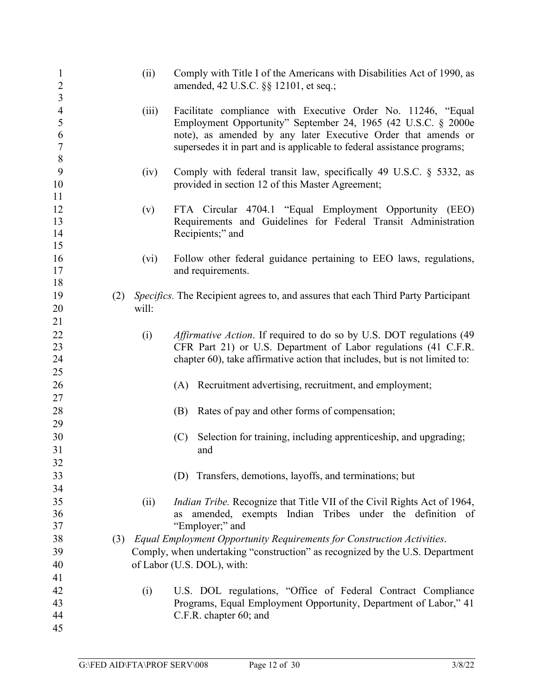| 1<br>$\sqrt{2}$  |     | (ii)    | Comply with Title I of the Americans with Disabilities Act of 1990, as<br>amended, 42 U.S.C. §§ 12101, et seq.; |
|------------------|-----|---------|-----------------------------------------------------------------------------------------------------------------|
| $\mathfrak{Z}$   |     |         |                                                                                                                 |
| $\overline{4}$   |     | (iii)   | Facilitate compliance with Executive Order No. 11246, "Equal                                                    |
| 5                |     |         | Employment Opportunity" September 24, 1965 (42 U.S.C. § 2000e                                                   |
| 6                |     |         | note), as amended by any later Executive Order that amends or                                                   |
| $\boldsymbol{7}$ |     |         | supersedes it in part and is applicable to federal assistance programs;                                         |
| $\,8\,$          |     |         |                                                                                                                 |
| 9                |     | (iv)    | Comply with federal transit law, specifically 49 U.S.C. § 5332, as                                              |
| 10               |     |         | provided in section 12 of this Master Agreement;                                                                |
| 11               |     |         |                                                                                                                 |
| 12               |     | (v)     | FTA Circular 4704.1 "Equal Employment Opportunity (EEO)                                                         |
| 13               |     |         | Requirements and Guidelines for Federal Transit Administration                                                  |
| 14               |     |         | Recipients;" and                                                                                                |
| 15               |     |         |                                                                                                                 |
| 16               |     | $(v_i)$ | Follow other federal guidance pertaining to EEO laws, regulations,                                              |
| 17               |     |         | and requirements.                                                                                               |
| 18               |     |         |                                                                                                                 |
| 19               | (2) |         | Specifics. The Recipient agrees to, and assures that each Third Party Participant                               |
| 20               |     | will:   |                                                                                                                 |
| 21               |     |         |                                                                                                                 |
| 22               |     |         | Affirmative Action. If required to do so by U.S. DOT regulations (49                                            |
| 23               |     | (i)     | CFR Part 21) or U.S. Department of Labor regulations (41 C.F.R.                                                 |
| 24               |     |         | chapter 60), take affirmative action that includes, but is not limited to:                                      |
|                  |     |         |                                                                                                                 |
| 25               |     |         |                                                                                                                 |
| 26               |     |         | Recruitment advertising, recruitment, and employment;<br>(A)                                                    |
| 27               |     |         |                                                                                                                 |
| 28               |     |         | Rates of pay and other forms of compensation;<br>(B)                                                            |
| 29               |     |         |                                                                                                                 |
| 30               |     |         | Selection for training, including apprenticeship, and upgrading;<br>(C)                                         |
| 31               |     |         | and                                                                                                             |
| 32               |     |         |                                                                                                                 |
| 33               |     |         | (D) Transfers, demotions, layoffs, and terminations; but                                                        |
| 34               |     |         |                                                                                                                 |
| 35               |     | (ii)    | <i>Indian Tribe.</i> Recognize that Title VII of the Civil Rights Act of 1964,                                  |
| 36               |     |         | amended, exempts Indian Tribes under the definition of<br>as                                                    |
| 37               |     |         | "Employer;" and                                                                                                 |
| 38               | (3) |         | Equal Employment Opportunity Requirements for Construction Activities.                                          |
| 39               |     |         | Comply, when undertaking "construction" as recognized by the U.S. Department                                    |
| 40               |     |         | of Labor (U.S. DOL), with:                                                                                      |
| 41               |     |         |                                                                                                                 |
| 42               |     | (i)     | U.S. DOL regulations, "Office of Federal Contract Compliance                                                    |
| 43               |     |         | Programs, Equal Employment Opportunity, Department of Labor," 41                                                |
| 44               |     |         | C.F.R. chapter 60; and                                                                                          |
| 45               |     |         |                                                                                                                 |
|                  |     |         |                                                                                                                 |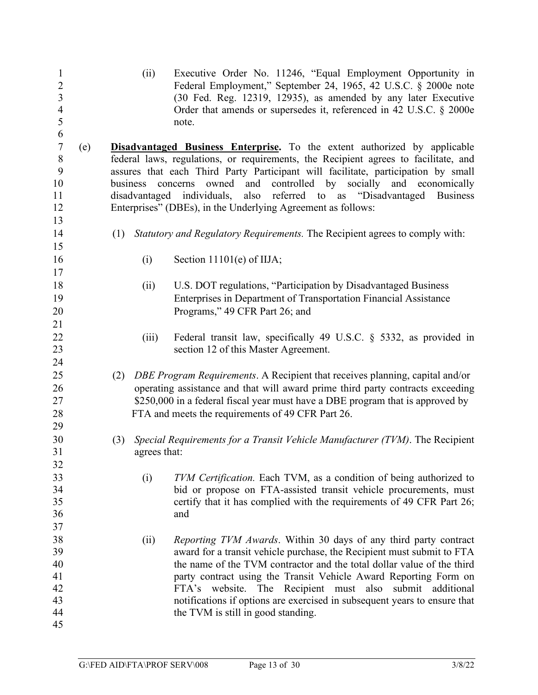1 (ii) Executive Order No. 11246, "Equal Employment Opportunity in 2 Federal Employment," September 24, 1965, 42 U.S.C. § 2000e note 3 (30 Fed. Reg. 12319, 12935), as amended by any later Executive 4 Order that amends or supersedes it, referenced in 42 U.S.C. § 2000e 5 note.  $\frac{6}{7}$ 7 (e) **Disadvantaged Business Enterprise.** To the extent authorized by applicable 8 federal laws, regulations, or requirements, the Recipient agrees to facilitate, and 9 assures that each Third Party Participant will facilitate, participation by small 10 business concerns owned and controlled by socially and economically 11 disadvantaged individuals, also referred to as "Disadvantaged Business 12 Enterprises" (DBEs), in the Underlying Agreement as follows: 13 14 (1) *Statutory and Regulatory Requirements.* The Recipient agrees to comply with: 15 16 (i) Section 11101(e) of IIJA; 17 18 (ii) U.S. DOT regulations, "Participation by Disadvantaged Business 19 Enterprises in Department of Transportation Financial Assistance 20 Programs," 49 CFR Part 26; and 21 22 (iii) Federal transit law, specifically 49 U.S.C. § 5332, as provided in 23 section 12 of this Master Agreement. 24 25 (2) *DBE Program Requirements*. A Recipient that receives planning, capital and/or 26 operating assistance and that will award prime third party contracts exceeding 27 \$250,000 in a federal fiscal year must have a DBE program that is approved by 28 FTA and meets the requirements of 49 CFR Part 26. 29 30 (3) *Special Requirements for a Transit Vehicle Manufacturer (TVM)*. The Recipient 31 agrees that: 32 33 (i) *TVM Certification.* Each TVM, as a condition of being authorized to 34 bid or propose on FTA-assisted transit vehicle procurements, must 35 certify that it has complied with the requirements of 49 CFR Part 26; 36 and 37 38 (ii) *Reporting TVM Awards*. Within 30 days of any third party contract 39 award for a transit vehicle purchase, the Recipient must submit to FTA 40 the name of the TVM contractor and the total dollar value of the third 41 party contract using the Transit Vehicle Award Reporting Form on 42 FTA's website. The Recipient must also submit additional 43 notifications if options are exercised in subsequent years to ensure that 44 the TVM is still in good standing. 45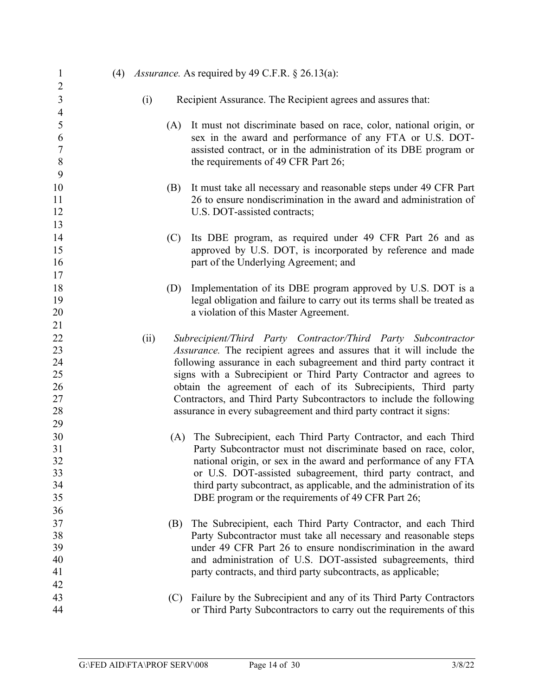| $\mathbf{1}$<br>$\overline{2}$               |      |     | (4) Assurance. As required by 49 C.F.R. $\S 26.13(a)$ :                                                                                                                                                                                                                                                                                                                                                                                                                                                    |
|----------------------------------------------|------|-----|------------------------------------------------------------------------------------------------------------------------------------------------------------------------------------------------------------------------------------------------------------------------------------------------------------------------------------------------------------------------------------------------------------------------------------------------------------------------------------------------------------|
| $\mathfrak{Z}$<br>$\overline{4}$             | (i)  |     | Recipient Assurance. The Recipient agrees and assures that:                                                                                                                                                                                                                                                                                                                                                                                                                                                |
| 5<br>6<br>$\overline{7}$<br>8<br>9           |      | (A) | It must not discriminate based on race, color, national origin, or<br>sex in the award and performance of any FTA or U.S. DOT-<br>assisted contract, or in the administration of its DBE program or<br>the requirements of 49 CFR Part 26;                                                                                                                                                                                                                                                                 |
| 10<br>11<br>12<br>13                         |      | (B) | It must take all necessary and reasonable steps under 49 CFR Part<br>26 to ensure nondiscrimination in the award and administration of<br>U.S. DOT-assisted contracts;                                                                                                                                                                                                                                                                                                                                     |
| 14<br>15<br>16<br>17                         |      | (C) | Its DBE program, as required under 49 CFR Part 26 and as<br>approved by U.S. DOT, is incorporated by reference and made<br>part of the Underlying Agreement; and                                                                                                                                                                                                                                                                                                                                           |
| 18<br>19<br>20<br>21                         |      | (D) | Implementation of its DBE program approved by U.S. DOT is a<br>legal obligation and failure to carry out its terms shall be treated as<br>a violation of this Master Agreement.                                                                                                                                                                                                                                                                                                                            |
| 22<br>23<br>24<br>25<br>26<br>27<br>28<br>29 | (ii) |     | Subrecipient/Third Party Contractor/Third Party Subcontractor<br><i>Assurance</i> . The recipient agrees and assures that it will include the<br>following assurance in each subagreement and third party contract it<br>signs with a Subrecipient or Third Party Contractor and agrees to<br>obtain the agreement of each of its Subrecipients, Third party<br>Contractors, and Third Party Subcontractors to include the following<br>assurance in every subagreement and third party contract it signs: |
| 30<br>31<br>32<br>33<br>34<br>35<br>36       |      | (A) | The Subrecipient, each Third Party Contractor, and each Third<br>Party Subcontractor must not discriminate based on race, color,<br>national origin, or sex in the award and performance of any FTA<br>or U.S. DOT-assisted subagreement, third party contract, and<br>third party subcontract, as applicable, and the administration of its<br>DBE program or the requirements of 49 CFR Part 26;                                                                                                         |
| 37<br>38<br>39<br>40<br>41<br>42             |      | (B) | The Subrecipient, each Third Party Contractor, and each Third<br>Party Subcontractor must take all necessary and reasonable steps<br>under 49 CFR Part 26 to ensure nondiscrimination in the award<br>and administration of U.S. DOT-assisted subagreements, third<br>party contracts, and third party subcontracts, as applicable;                                                                                                                                                                        |
| 43<br>44                                     |      | (C) | Failure by the Subrecipient and any of its Third Party Contractors<br>or Third Party Subcontractors to carry out the requirements of this                                                                                                                                                                                                                                                                                                                                                                  |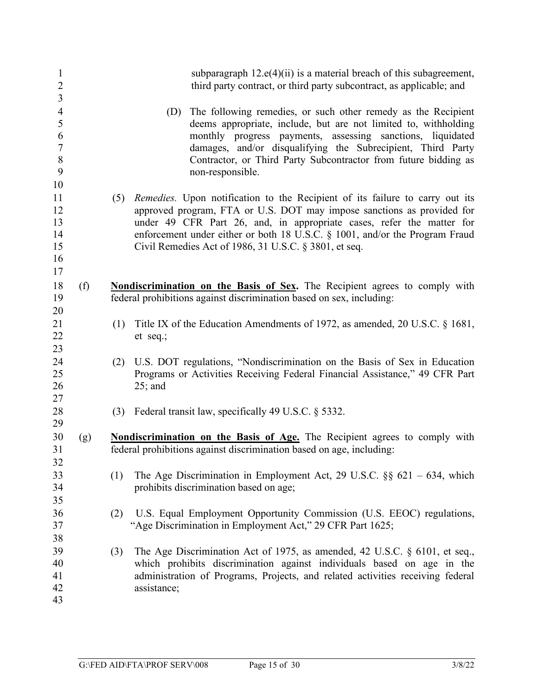| $\mathbf{1}$<br>$\sqrt{2}$<br>3                                   |     |     | subparagraph $12.e(4)(ii)$ is a material breach of this subagreement,<br>third party contract, or third party subcontract, as applicable; and                                                                                                                                                                                                                                  |
|-------------------------------------------------------------------|-----|-----|--------------------------------------------------------------------------------------------------------------------------------------------------------------------------------------------------------------------------------------------------------------------------------------------------------------------------------------------------------------------------------|
| $\overline{4}$<br>5<br>6<br>$\boldsymbol{7}$<br>$\, 8$<br>9<br>10 |     |     | (D) The following remedies, or such other remedy as the Recipient<br>deems appropriate, include, but are not limited to, withholding<br>monthly progress payments, assessing sanctions, liquidated<br>damages, and/or disqualifying the Subrecipient, Third Party<br>Contractor, or Third Party Subcontractor from future bidding as<br>non-responsible.                       |
| 11<br>12<br>13<br>14<br>15<br>16<br>17                            |     | (5) | <i>Remedies.</i> Upon notification to the Recipient of its failure to carry out its<br>approved program, FTA or U.S. DOT may impose sanctions as provided for<br>under 49 CFR Part 26, and, in appropriate cases, refer the matter for<br>enforcement under either or both 18 U.S.C. § 1001, and/or the Program Fraud<br>Civil Remedies Act of 1986, 31 U.S.C. § 3801, et seq. |
| 18<br>19<br>20                                                    | (f) |     | <b>Nondiscrimination on the Basis of Sex.</b> The Recipient agrees to comply with<br>federal prohibitions against discrimination based on sex, including:                                                                                                                                                                                                                      |
| 21<br>22<br>23                                                    |     | (1) | Title IX of the Education Amendments of 1972, as amended, 20 U.S.C. § 1681,<br>et seq.;                                                                                                                                                                                                                                                                                        |
| 24<br>25<br>26<br>27                                              |     | (2) | U.S. DOT regulations, "Nondiscrimination on the Basis of Sex in Education<br>Programs or Activities Receiving Federal Financial Assistance," 49 CFR Part<br>$25$ ; and                                                                                                                                                                                                         |
| 28<br>29                                                          |     | (3) | Federal transit law, specifically 49 U.S.C. § 5332.                                                                                                                                                                                                                                                                                                                            |
| 30<br>31<br>32                                                    | (g) |     | <b>Nondiscrimination on the Basis of Age.</b> The Recipient agrees to comply with<br>federal prohibitions against discrimination based on age, including:                                                                                                                                                                                                                      |
| 33<br>34<br>35                                                    |     | (1) | The Age Discrimination in Employment Act, 29 U.S.C. $\S$ 621 – 634, which<br>prohibits discrimination based on age;                                                                                                                                                                                                                                                            |
| 36<br>37<br>38                                                    |     | (2) | U.S. Equal Employment Opportunity Commission (U.S. EEOC) regulations,<br>"Age Discrimination in Employment Act," 29 CFR Part 1625;                                                                                                                                                                                                                                             |
| 39<br>40<br>41<br>42<br>43                                        |     | (3) | The Age Discrimination Act of 1975, as amended, 42 U.S.C. $\S$ 6101, et seq.,<br>which prohibits discrimination against individuals based on age in the<br>administration of Programs, Projects, and related activities receiving federal<br>assistance;                                                                                                                       |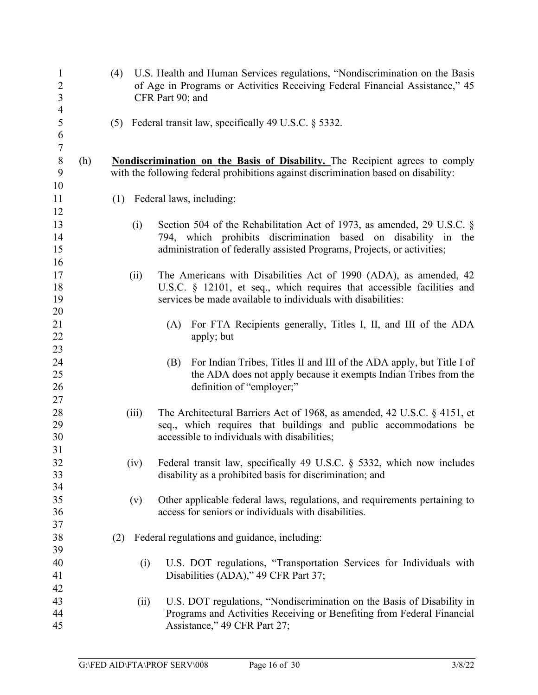| $\mathbf{1}$<br>$\overline{c}$<br>$\mathfrak{Z}$ |     | (4)   | U.S. Health and Human Services regulations, "Nondiscrimination on the Basis<br>of Age in Programs or Activities Receiving Federal Financial Assistance," 45<br>CFR Part 90; and |
|--------------------------------------------------|-----|-------|---------------------------------------------------------------------------------------------------------------------------------------------------------------------------------|
| $\overline{4}$<br>5<br>6                         |     |       | (5) Federal transit law, specifically 49 U.S.C. $\S$ 5332.                                                                                                                      |
| $\sqrt{ }$                                       |     |       |                                                                                                                                                                                 |
| $\,$ $\,$                                        | (h) |       | <b>Nondiscrimination on the Basis of Disability.</b> The Recipient agrees to comply                                                                                             |
| 9                                                |     |       | with the following federal prohibitions against discrimination based on disability:                                                                                             |
| 10                                               |     |       |                                                                                                                                                                                 |
| 11                                               |     | (1)   | Federal laws, including:                                                                                                                                                        |
| 12                                               |     |       |                                                                                                                                                                                 |
| 13                                               |     | (i)   | Section 504 of the Rehabilitation Act of 1973, as amended, 29 U.S.C. $\S$                                                                                                       |
| 14<br>15                                         |     |       | 794, which prohibits discrimination based on disability in the<br>administration of federally assisted Programs, Projects, or activities;                                       |
| 16                                               |     |       |                                                                                                                                                                                 |
| 17                                               |     | (ii)  | The Americans with Disabilities Act of 1990 (ADA), as amended, 42                                                                                                               |
| 18                                               |     |       | U.S.C. $\S$ 12101, et seq., which requires that accessible facilities and                                                                                                       |
| 19                                               |     |       | services be made available to individuals with disabilities:                                                                                                                    |
| 20                                               |     |       |                                                                                                                                                                                 |
| 21                                               |     |       | For FTA Recipients generally, Titles I, II, and III of the ADA<br>(A)                                                                                                           |
| 22                                               |     |       | apply; but                                                                                                                                                                      |
| 23                                               |     |       |                                                                                                                                                                                 |
| 24                                               |     |       | For Indian Tribes, Titles II and III of the ADA apply, but Title I of<br>(B)                                                                                                    |
| 25                                               |     |       | the ADA does not apply because it exempts Indian Tribes from the                                                                                                                |
| 26                                               |     |       | definition of "employer;"                                                                                                                                                       |
| 27<br>28                                         |     |       | The Architectural Barriers Act of 1968, as amended, 42 U.S.C. § 4151, et                                                                                                        |
| 29                                               |     | (iii) | seq., which requires that buildings and public accommodations be                                                                                                                |
| 30                                               |     |       | accessible to individuals with disabilities;                                                                                                                                    |
| 31                                               |     |       |                                                                                                                                                                                 |
| 32                                               |     | (iv)  | Federal transit law, specifically 49 U.S.C. § 5332, which now includes                                                                                                          |
| 33                                               |     |       | disability as a prohibited basis for discrimination; and                                                                                                                        |
| 34                                               |     |       |                                                                                                                                                                                 |
| 35                                               |     | (v)   | Other applicable federal laws, regulations, and requirements pertaining to                                                                                                      |
| 36                                               |     |       | access for seniors or individuals with disabilities.                                                                                                                            |
| 37                                               |     |       |                                                                                                                                                                                 |
| 38                                               |     | (2)   | Federal regulations and guidance, including:                                                                                                                                    |
| 39<br>40                                         |     |       | U.S. DOT regulations, "Transportation Services for Individuals with                                                                                                             |
| 41                                               |     | (i)   | Disabilities (ADA)," 49 CFR Part 37;                                                                                                                                            |
| 42                                               |     |       |                                                                                                                                                                                 |
| 43                                               |     | (ii)  | U.S. DOT regulations, "Nondiscrimination on the Basis of Disability in                                                                                                          |
| 44                                               |     |       | Programs and Activities Receiving or Benefiting from Federal Financial                                                                                                          |
| 45                                               |     |       | Assistance," 49 CFR Part 27;                                                                                                                                                    |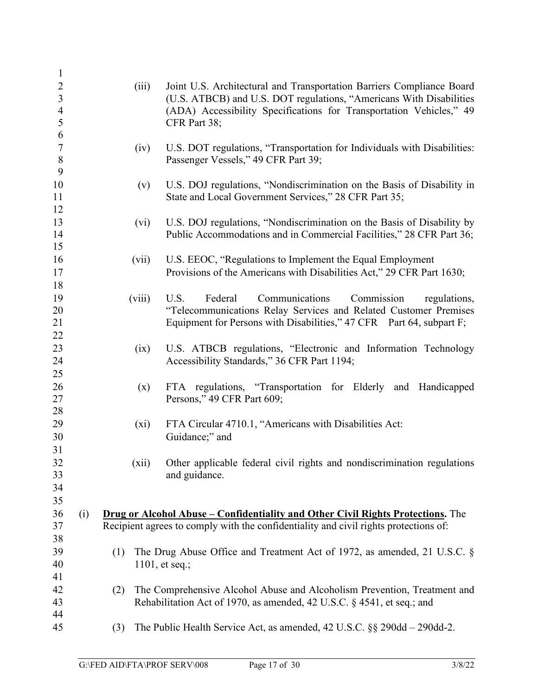| $\mathbf{1}$   |     |     |         |                                                                                        |
|----------------|-----|-----|---------|----------------------------------------------------------------------------------------|
| $\overline{2}$ |     |     | (iii)   | Joint U.S. Architectural and Transportation Barriers Compliance Board                  |
| 3              |     |     |         | (U.S. ATBCB) and U.S. DOT regulations, "Americans With Disabilities                    |
| $\overline{4}$ |     |     |         | (ADA) Accessibility Specifications for Transportation Vehicles," 49                    |
| 5              |     |     |         | CFR Part 38;                                                                           |
| 6              |     |     |         |                                                                                        |
| $\tau$         |     |     | (iv)    | U.S. DOT regulations, "Transportation for Individuals with Disabilities:               |
| $\,8\,$        |     |     |         | Passenger Vessels," 49 CFR Part 39;                                                    |
| 9              |     |     |         |                                                                                        |
| 10             |     |     | (v)     | U.S. DOJ regulations, "Nondiscrimination on the Basis of Disability in                 |
| 11             |     |     |         | State and Local Government Services," 28 CFR Part 35;                                  |
| 12             |     |     |         |                                                                                        |
| 13             |     |     | (vi)    | U.S. DOJ regulations, "Nondiscrimination on the Basis of Disability by                 |
| 14             |     |     |         | Public Accommodations and in Commercial Facilities," 28 CFR Part 36;                   |
| 15             |     |     |         |                                                                                        |
| 16             |     |     | (vii)   | U.S. EEOC, "Regulations to Implement the Equal Employment                              |
| 17             |     |     |         | Provisions of the Americans with Disabilities Act," 29 CFR Part 1630;                  |
| 18             |     |     |         |                                                                                        |
| 19             |     |     | (viii)  | Communications<br>U.S.<br>Federal<br>Commission<br>regulations,                        |
| 20             |     |     |         | "Telecommunications Relay Services and Related Customer Premises                       |
| 21             |     |     |         | Equipment for Persons with Disabilities," 47 CFR Part 64, subpart F;                   |
| 22             |     |     |         |                                                                                        |
| 23             |     |     | (ix)    | U.S. ATBCB regulations, "Electronic and Information Technology                         |
| 24             |     |     |         | Accessibility Standards," 36 CFR Part 1194;                                            |
| 25             |     |     |         |                                                                                        |
| 26             |     |     | (x)     | FTA regulations, "Transportation for Elderly and Handicapped                           |
| 27             |     |     |         | Persons," 49 CFR Part 609;                                                             |
| 28             |     |     |         |                                                                                        |
| 29             |     |     | $(x_i)$ | FTA Circular 4710.1, "Americans with Disabilities Act:                                 |
| 30             |     |     |         | Guidance;" and                                                                         |
| 31             |     |     |         |                                                                                        |
| 32             |     |     | (xii)   | Other applicable federal civil rights and nondiscrimination regulations                |
| 33             |     |     |         | and guidance.                                                                          |
| 34             |     |     |         |                                                                                        |
| 35             |     |     |         |                                                                                        |
| 36             | (i) |     |         | <b>Drug or Alcohol Abuse – Confidentiality and Other Civil Rights Protections.</b> The |
| 37             |     |     |         | Recipient agrees to comply with the confidentiality and civil rights protections of:   |
| 38             |     |     |         |                                                                                        |
| 39             |     | (1) |         | The Drug Abuse Office and Treatment Act of 1972, as amended, 21 U.S.C. $\S$            |
| 40             |     |     |         | 1101, et seq.;                                                                         |
| 41             |     |     |         |                                                                                        |
| 42             |     | (2) |         | The Comprehensive Alcohol Abuse and Alcoholism Prevention, Treatment and               |
| 43             |     |     |         | Rehabilitation Act of 1970, as amended, 42 U.S.C. § 4541, et seq.; and                 |
| 44             |     |     |         |                                                                                        |
| 45             |     | (3) |         | The Public Health Service Act, as amended, $42$ U.S.C. $\S$ $\S$ 290dd – 290dd-2.      |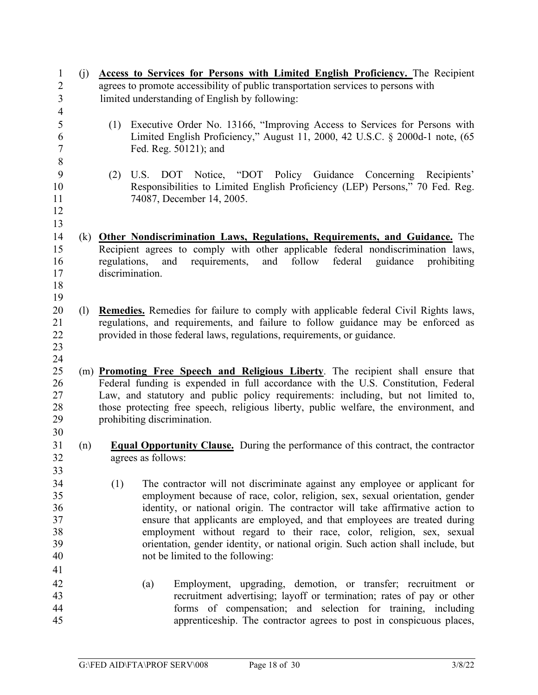| $\mathbf{1}$<br>$\overline{2}$<br>3<br>4     | (i) | <b>Access to Services for Persons with Limited English Proficiency.</b> The Recipient<br>agrees to promote accessibility of public transportation services to persons with<br>limited understanding of English by following:                                                                                                                                                                                                                                                                                                     |  |  |  |  |
|----------------------------------------------|-----|----------------------------------------------------------------------------------------------------------------------------------------------------------------------------------------------------------------------------------------------------------------------------------------------------------------------------------------------------------------------------------------------------------------------------------------------------------------------------------------------------------------------------------|--|--|--|--|
| 5<br>6<br>$\tau$<br>8                        |     | Executive Order No. 13166, "Improving Access to Services for Persons with<br>(1)<br>Limited English Proficiency," August 11, 2000, 42 U.S.C. § 2000d-1 note, (65<br>Fed. Reg. 50121); and                                                                                                                                                                                                                                                                                                                                        |  |  |  |  |
| 9<br>10<br>11<br>12<br>13                    |     | U.S. DOT Notice, "DOT Policy Guidance Concerning Recipients'<br>(2)<br>Responsibilities to Limited English Proficiency (LEP) Persons," 70 Fed. Reg.<br>74087, December 14, 2005.                                                                                                                                                                                                                                                                                                                                                 |  |  |  |  |
| 14<br>15<br>16<br>17<br>18<br>19             | (k) | <b>Other Nondiscrimination Laws, Regulations, Requirements, and Guidance.</b> The<br>Recipient agrees to comply with other applicable federal nondiscrimination laws,<br>federal<br>guidance<br>regulations,<br>and<br>requirements,<br>and<br>follow<br>prohibiting<br>discrimination.                                                                                                                                                                                                                                          |  |  |  |  |
| 20<br>21<br>22<br>23                         | (1) | <b>Remedies.</b> Remedies for failure to comply with applicable federal Civil Rights laws,<br>regulations, and requirements, and failure to follow guidance may be enforced as<br>provided in those federal laws, regulations, requirements, or guidance.                                                                                                                                                                                                                                                                        |  |  |  |  |
| 24<br>25<br>26<br>27<br>28<br>29             |     | (m) <b>Promoting Free Speech and Religious Liberty</b> . The recipient shall ensure that<br>Federal funding is expended in full accordance with the U.S. Constitution, Federal<br>Law, and statutory and public policy requirements: including, but not limited to,<br>those protecting free speech, religious liberty, public welfare, the environment, and<br>prohibiting discrimination.                                                                                                                                      |  |  |  |  |
| 30<br>31<br>32<br>33                         | (n) | <b>Equal Opportunity Clause.</b> During the performance of this contract, the contractor<br>agrees as follows:                                                                                                                                                                                                                                                                                                                                                                                                                   |  |  |  |  |
| 34<br>35<br>36<br>37<br>38<br>39<br>40<br>41 |     | (1)<br>The contractor will not discriminate against any employee or applicant for<br>employment because of race, color, religion, sex, sexual orientation, gender<br>identity, or national origin. The contractor will take affirmative action to<br>ensure that applicants are employed, and that employees are treated during<br>employment without regard to their race, color, religion, sex, sexual<br>orientation, gender identity, or national origin. Such action shall include, but<br>not be limited to the following: |  |  |  |  |
| 42<br>43<br>44<br>45                         |     | Employment, upgrading, demotion, or transfer; recruitment or<br>(a)<br>recruitment advertising; layoff or termination; rates of pay or other<br>forms of compensation; and selection for training, including<br>apprenticeship. The contractor agrees to post in conspicuous places,                                                                                                                                                                                                                                             |  |  |  |  |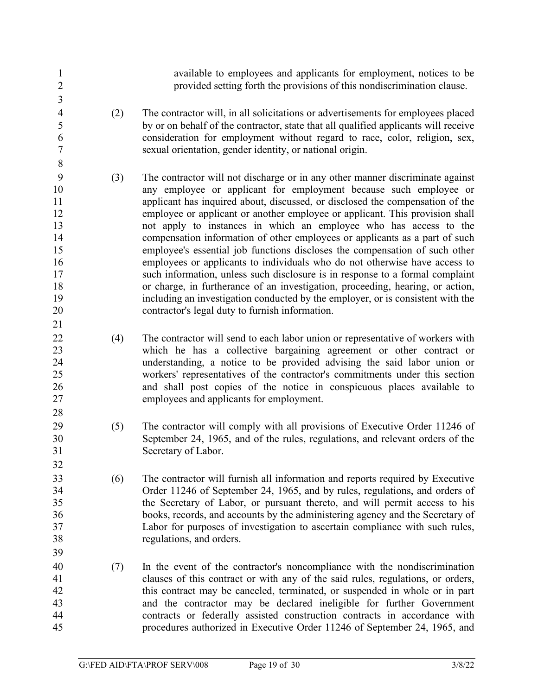| $\mathbf{1}$<br>$\overline{2}$                                            |     | available to employees and applicants for employment, notices to be<br>provided setting forth the provisions of this nondiscrimination clause.                                                                                                                                                                                                                                                                                                                                                                                                                                                                                                                                                                                                                                                                                                                                                                                                |
|---------------------------------------------------------------------------|-----|-----------------------------------------------------------------------------------------------------------------------------------------------------------------------------------------------------------------------------------------------------------------------------------------------------------------------------------------------------------------------------------------------------------------------------------------------------------------------------------------------------------------------------------------------------------------------------------------------------------------------------------------------------------------------------------------------------------------------------------------------------------------------------------------------------------------------------------------------------------------------------------------------------------------------------------------------|
| 3<br>$\overline{4}$<br>5<br>6<br>$\overline{7}$<br>8                      | (2) | The contractor will, in all solicitations or advertisements for employees placed<br>by or on behalf of the contractor, state that all qualified applicants will receive<br>consideration for employment without regard to race, color, religion, sex,<br>sexual orientation, gender identity, or national origin.                                                                                                                                                                                                                                                                                                                                                                                                                                                                                                                                                                                                                             |
| 9<br>10<br>11<br>12<br>13<br>14<br>15<br>16<br>17<br>18<br>19<br>20<br>21 | (3) | The contractor will not discharge or in any other manner discriminate against<br>any employee or applicant for employment because such employee or<br>applicant has inquired about, discussed, or disclosed the compensation of the<br>employee or applicant or another employee or applicant. This provision shall<br>not apply to instances in which an employee who has access to the<br>compensation information of other employees or applicants as a part of such<br>employee's essential job functions discloses the compensation of such other<br>employees or applicants to individuals who do not otherwise have access to<br>such information, unless such disclosure is in response to a formal complaint<br>or charge, in furtherance of an investigation, proceeding, hearing, or action,<br>including an investigation conducted by the employer, or is consistent with the<br>contractor's legal duty to furnish information. |
| 22<br>23<br>24<br>25<br>26<br>27                                          | (4) | The contractor will send to each labor union or representative of workers with<br>which he has a collective bargaining agreement or other contract or<br>understanding, a notice to be provided advising the said labor union or<br>workers' representatives of the contractor's commitments under this section<br>and shall post copies of the notice in conspicuous places available to<br>employees and applicants for employment.                                                                                                                                                                                                                                                                                                                                                                                                                                                                                                         |
| 28<br>29<br>30<br>31                                                      | (5) | The contractor will comply with all provisions of Executive Order 11246 of<br>September 24, 1965, and of the rules, regulations, and relevant orders of the<br>Secretary of Labor.                                                                                                                                                                                                                                                                                                                                                                                                                                                                                                                                                                                                                                                                                                                                                            |
| 32<br>33<br>34<br>35<br>36<br>37<br>38                                    | (6) | The contractor will furnish all information and reports required by Executive<br>Order 11246 of September 24, 1965, and by rules, regulations, and orders of<br>the Secretary of Labor, or pursuant thereto, and will permit access to his<br>books, records, and accounts by the administering agency and the Secretary of<br>Labor for purposes of investigation to ascertain compliance with such rules,<br>regulations, and orders.                                                                                                                                                                                                                                                                                                                                                                                                                                                                                                       |
| 39<br>40<br>41<br>42<br>43<br>44<br>45                                    | (7) | In the event of the contractor's noncompliance with the nondiscrimination<br>clauses of this contract or with any of the said rules, regulations, or orders,<br>this contract may be canceled, terminated, or suspended in whole or in part<br>and the contractor may be declared ineligible for further Government<br>contracts or federally assisted construction contracts in accordance with<br>procedures authorized in Executive Order 11246 of September 24, 1965, and                                                                                                                                                                                                                                                                                                                                                                                                                                                                 |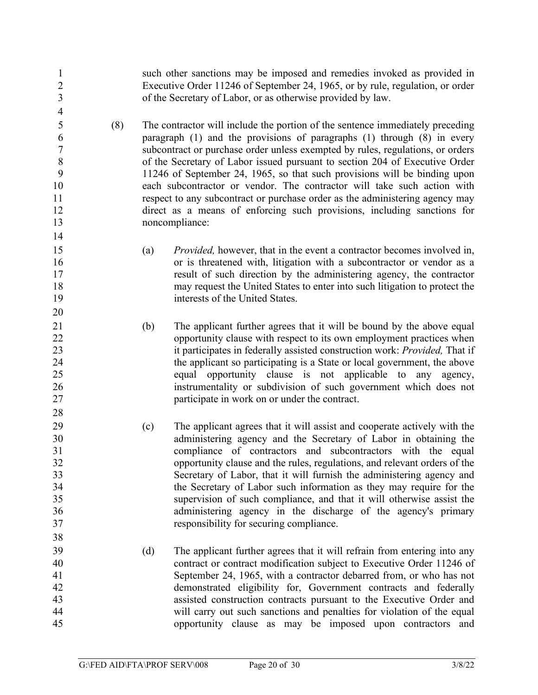such other sanctions may be imposed and remedies invoked as provided in Executive Order 11246 of September 24, 1965, or by rule, regulation, or order of the Secretary of Labor, or as otherwise provided by law.

- (8) The contractor will include the portion of the sentence immediately preceding paragraph (1) and the provisions of paragraphs (1) through (8) in every subcontract or purchase order unless exempted by rules, regulations, or orders of the Secretary of Labor issued pursuant to section 204 of Executive Order 11246 of September 24, 1965, so that such provisions will be binding upon each subcontractor or vendor. The contractor will take such action with respect to any subcontract or purchase order as the administering agency may direct as a means of enforcing such provisions, including sanctions for noncompliance:
- (a) *Provided,* however, that in the event a contractor becomes involved in, or is threatened with, litigation with a subcontractor or vendor as a result of such direction by the administering agency, the contractor may request the United States to enter into such litigation to protect the interests of the United States.
- (b) The applicant further agrees that it will be bound by the above equal opportunity clause with respect to its own employment practices when it participates in federally assisted construction work: *Provided,* That if the applicant so participating is a State or local government, the above equal opportunity clause is not applicable to any agency, instrumentality or subdivision of such government which does not participate in work on or under the contract.
- (c) The applicant agrees that it will assist and cooperate actively with the administering agency and the Secretary of Labor in obtaining the compliance of contractors and subcontractors with the equal opportunity clause and the rules, regulations, and relevant orders of the Secretary of Labor, that it will furnish the administering agency and the Secretary of Labor such information as they may require for the supervision of such compliance, and that it will otherwise assist the administering agency in the discharge of the agency's primary responsibility for securing compliance.
- (d) The applicant further agrees that it will refrain from entering into any contract or contract modification subject to Executive Order 11246 of September 24, 1965, with a contractor debarred from, or who has not demonstrated eligibility for, Government contracts and federally assisted construction contracts pursuant to the Executive Order and will carry out such sanctions and penalties for violation of the equal opportunity clause as may be imposed upon contractors and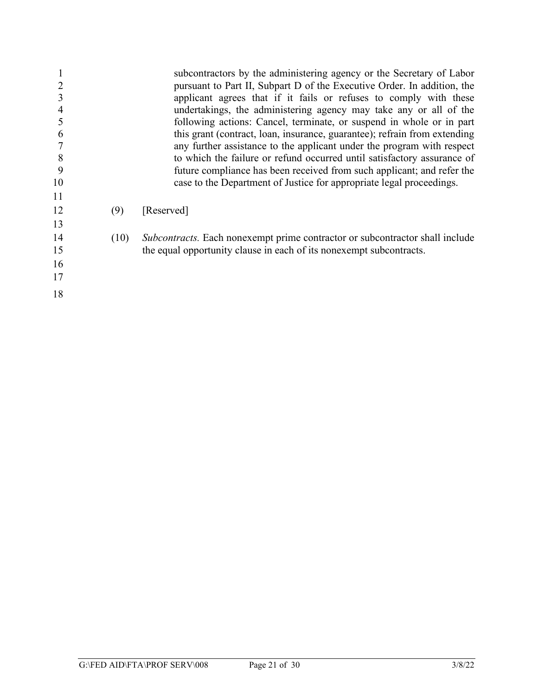| 2<br>3<br>4<br>6 |      | subcontractors by the administering agency or the Secretary of Labor<br>pursuant to Part II, Subpart D of the Executive Order. In addition, the<br>applicant agrees that if it fails or refuses to comply with these<br>undertakings, the administering agency may take any or all of the<br>following actions: Cancel, terminate, or suspend in whole or in part<br>this grant (contract, loan, insurance, guarantee); refrain from extending |
|------------------|------|------------------------------------------------------------------------------------------------------------------------------------------------------------------------------------------------------------------------------------------------------------------------------------------------------------------------------------------------------------------------------------------------------------------------------------------------|
|                  |      | any further assistance to the applicant under the program with respect                                                                                                                                                                                                                                                                                                                                                                         |
| 8                |      | to which the failure or refund occurred until satisfactory assurance of                                                                                                                                                                                                                                                                                                                                                                        |
| 9                |      | future compliance has been received from such applicant; and refer the                                                                                                                                                                                                                                                                                                                                                                         |
| 10               |      | case to the Department of Justice for appropriate legal proceedings.                                                                                                                                                                                                                                                                                                                                                                           |
| 11               |      |                                                                                                                                                                                                                                                                                                                                                                                                                                                |
| 12               | (9)  | [Reserved]                                                                                                                                                                                                                                                                                                                                                                                                                                     |
| 13               |      |                                                                                                                                                                                                                                                                                                                                                                                                                                                |
| 14               | (10) | <i>Subcontracts</i> . Each nonexempt prime contractor or subcontractor shall include                                                                                                                                                                                                                                                                                                                                                           |
| 15               |      | the equal opportunity clause in each of its nonexempt subcontracts.                                                                                                                                                                                                                                                                                                                                                                            |
| 16               |      |                                                                                                                                                                                                                                                                                                                                                                                                                                                |
| 17               |      |                                                                                                                                                                                                                                                                                                                                                                                                                                                |
| 18               |      |                                                                                                                                                                                                                                                                                                                                                                                                                                                |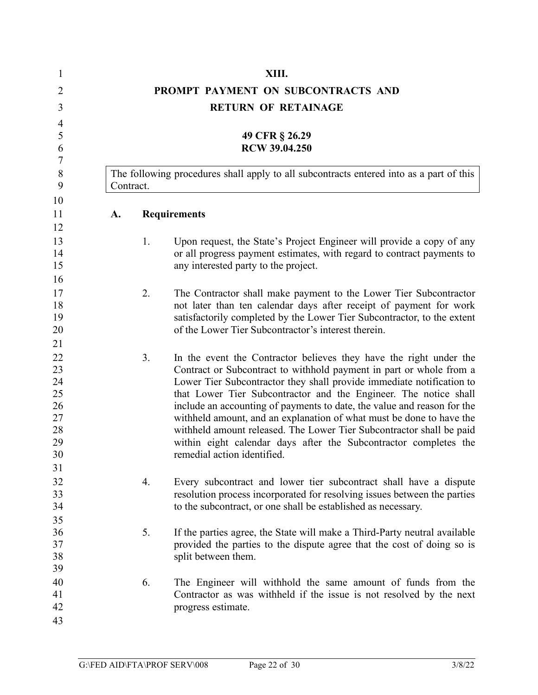<span id="page-23-1"></span><span id="page-23-0"></span>

| $\mathbf{1}$                                             | XIII.                                                                                                |    |                                                                                                                                                                                                                                                                                                                                                                                                                                                                                                                                                                                                                      |  |  |  |
|----------------------------------------------------------|------------------------------------------------------------------------------------------------------|----|----------------------------------------------------------------------------------------------------------------------------------------------------------------------------------------------------------------------------------------------------------------------------------------------------------------------------------------------------------------------------------------------------------------------------------------------------------------------------------------------------------------------------------------------------------------------------------------------------------------------|--|--|--|
| $\overline{2}$                                           | PROMPT PAYMENT ON SUBCONTRACTS AND                                                                   |    |                                                                                                                                                                                                                                                                                                                                                                                                                                                                                                                                                                                                                      |  |  |  |
| 3                                                        |                                                                                                      |    | <b>RETURN OF RETAINAGE</b>                                                                                                                                                                                                                                                                                                                                                                                                                                                                                                                                                                                           |  |  |  |
| $\overline{4}$                                           |                                                                                                      |    |                                                                                                                                                                                                                                                                                                                                                                                                                                                                                                                                                                                                                      |  |  |  |
| 5                                                        |                                                                                                      |    | 49 CFR § 26.29                                                                                                                                                                                                                                                                                                                                                                                                                                                                                                                                                                                                       |  |  |  |
| 6<br>$\boldsymbol{7}$                                    |                                                                                                      |    | <b>RCW 39.04.250</b>                                                                                                                                                                                                                                                                                                                                                                                                                                                                                                                                                                                                 |  |  |  |
| 8<br>9                                                   | The following procedures shall apply to all subcontracts entered into as a part of this<br>Contract. |    |                                                                                                                                                                                                                                                                                                                                                                                                                                                                                                                                                                                                                      |  |  |  |
| 10<br>11<br>12                                           | A.                                                                                                   |    | <b>Requirements</b>                                                                                                                                                                                                                                                                                                                                                                                                                                                                                                                                                                                                  |  |  |  |
| 13<br>14<br>15<br>16                                     |                                                                                                      | 1. | Upon request, the State's Project Engineer will provide a copy of any<br>or all progress payment estimates, with regard to contract payments to<br>any interested party to the project.                                                                                                                                                                                                                                                                                                                                                                                                                              |  |  |  |
| 17<br>18<br>19<br>20<br>21                               |                                                                                                      | 2. | The Contractor shall make payment to the Lower Tier Subcontractor<br>not later than ten calendar days after receipt of payment for work<br>satisfactorily completed by the Lower Tier Subcontractor, to the extent<br>of the Lower Tier Subcontractor's interest therein.                                                                                                                                                                                                                                                                                                                                            |  |  |  |
| 22<br>23<br>24<br>25<br>26<br>27<br>28<br>29<br>30<br>31 |                                                                                                      | 3. | In the event the Contractor believes they have the right under the<br>Contract or Subcontract to withhold payment in part or whole from a<br>Lower Tier Subcontractor they shall provide immediate notification to<br>that Lower Tier Subcontractor and the Engineer. The notice shall<br>include an accounting of payments to date, the value and reason for the<br>withheld amount, and an explanation of what must be done to have the<br>withheld amount released. The Lower Tier Subcontractor shall be paid<br>within eight calendar days after the Subcontractor completes the<br>remedial action identified. |  |  |  |
| 32<br>33<br>34<br>35                                     |                                                                                                      | 4. | Every subcontract and lower tier subcontract shall have a dispute<br>resolution process incorporated for resolving issues between the parties<br>to the subcontract, or one shall be established as necessary.                                                                                                                                                                                                                                                                                                                                                                                                       |  |  |  |
| 36<br>37<br>38<br>39                                     |                                                                                                      | 5. | If the parties agree, the State will make a Third-Party neutral available<br>provided the parties to the dispute agree that the cost of doing so is<br>split between them.                                                                                                                                                                                                                                                                                                                                                                                                                                           |  |  |  |
| 40<br>41<br>42<br>43                                     |                                                                                                      | 6. | The Engineer will withhold the same amount of funds from the<br>Contractor as was withheld if the issue is not resolved by the next<br>progress estimate.                                                                                                                                                                                                                                                                                                                                                                                                                                                            |  |  |  |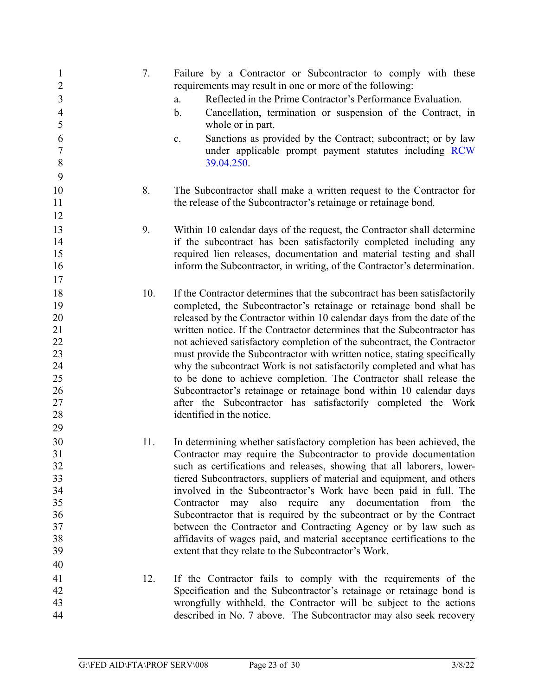| $\mathbf{1}$<br>$\overline{2}$ | 7.  | Failure by a Contractor or Subcontractor to comply with these<br>requirements may result in one or more of the following:                        |
|--------------------------------|-----|--------------------------------------------------------------------------------------------------------------------------------------------------|
| 3                              |     | Reflected in the Prime Contractor's Performance Evaluation.<br>a.                                                                                |
| $\overline{4}$                 |     | Cancellation, termination or suspension of the Contract, in<br>b.                                                                                |
| 5                              |     | whole or in part.                                                                                                                                |
| 6                              |     | Sanctions as provided by the Contract; subcontract; or by law<br>c.                                                                              |
| $\tau$                         |     | under applicable prompt payment statutes including RCW                                                                                           |
| 8                              |     | 39.04.250.                                                                                                                                       |
| 9                              |     |                                                                                                                                                  |
| 10                             | 8.  | The Subcontractor shall make a written request to the Contractor for                                                                             |
| 11                             |     | the release of the Subcontractor's retainage or retainage bond.                                                                                  |
| 12                             |     |                                                                                                                                                  |
| 13                             | 9.  | Within 10 calendar days of the request, the Contractor shall determine                                                                           |
| 14                             |     | if the subcontract has been satisfactorily completed including any                                                                               |
| 15                             |     | required lien releases, documentation and material testing and shall                                                                             |
| 16                             |     | inform the Subcontractor, in writing, of the Contractor's determination.                                                                         |
| 17                             |     |                                                                                                                                                  |
| 18                             | 10. |                                                                                                                                                  |
| 19                             |     | If the Contractor determines that the subcontract has been satisfactorily<br>completed, the Subcontractor's retainage or retainage bond shall be |
| 20                             |     | released by the Contractor within 10 calendar days from the date of the                                                                          |
| 21                             |     | written notice. If the Contractor determines that the Subcontractor has                                                                          |
| 22                             |     | not achieved satisfactory completion of the subcontract, the Contractor                                                                          |
| 23                             |     | must provide the Subcontractor with written notice, stating specifically                                                                         |
| 24                             |     | why the subcontract Work is not satisfactorily completed and what has                                                                            |
| 25                             |     | to be done to achieve completion. The Contractor shall release the                                                                               |
| 26                             |     | Subcontractor's retainage or retainage bond within 10 calendar days                                                                              |
| 27                             |     | after the Subcontractor has satisfactorily completed the Work                                                                                    |
| 28                             |     | identified in the notice.                                                                                                                        |
| 29                             |     |                                                                                                                                                  |
| 30                             | 11. | In determining whether satisfactory completion has been achieved, the                                                                            |
| 31                             |     | Contractor may require the Subcontractor to provide documentation                                                                                |
| 32                             |     | such as certifications and releases, showing that all laborers, lower-                                                                           |
| 33                             |     | tiered Subcontractors, suppliers of material and equipment, and others                                                                           |
| 34                             |     | involved in the Subcontractor's Work have been paid in full. The                                                                                 |
| 35                             |     | Contractor may also require any documentation from<br>the                                                                                        |
| 36                             |     | Subcontractor that is required by the subcontract or by the Contract                                                                             |
| 37                             |     | between the Contractor and Contracting Agency or by law such as                                                                                  |
| 38                             |     | affidavits of wages paid, and material acceptance certifications to the                                                                          |
| 39                             |     | extent that they relate to the Subcontractor's Work.                                                                                             |
| 40                             |     |                                                                                                                                                  |
| 41                             | 12. | If the Contractor fails to comply with the requirements of the                                                                                   |
| 42                             |     | Specification and the Subcontractor's retainage or retainage bond is                                                                             |
| 43                             |     | wrongfully withheld, the Contractor will be subject to the actions                                                                               |
| 44                             |     | described in No. 7 above. The Subcontractor may also seek recovery                                                                               |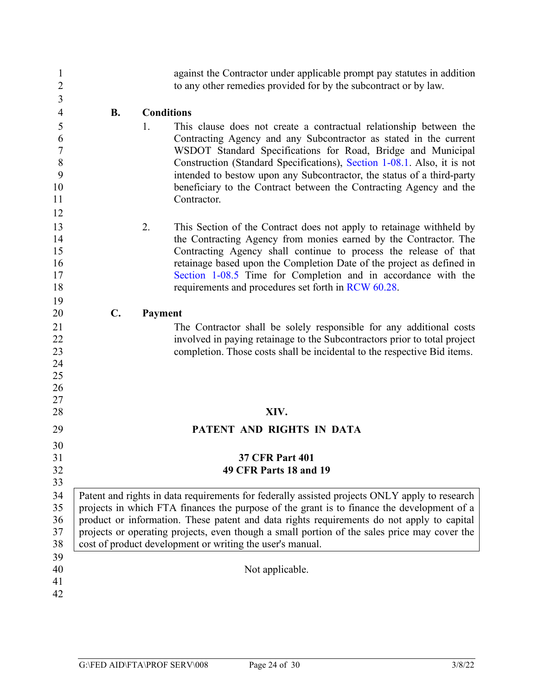<span id="page-25-1"></span><span id="page-25-0"></span>

| $\mathbf{1}$<br>$\sqrt{2}$ |               | against the Contractor under applicable prompt pay statutes in addition<br>to any other remedies provided for by the subcontract or by law.                                                 |
|----------------------------|---------------|---------------------------------------------------------------------------------------------------------------------------------------------------------------------------------------------|
| 3                          |               |                                                                                                                                                                                             |
| $\overline{4}$             | <b>B.</b>     | <b>Conditions</b>                                                                                                                                                                           |
| 5                          |               | This clause does not create a contractual relationship between the<br>1.                                                                                                                    |
| 6                          |               | Contracting Agency and any Subcontractor as stated in the current                                                                                                                           |
| $\overline{7}$             |               | WSDOT Standard Specifications for Road, Bridge and Municipal                                                                                                                                |
| 8                          |               | Construction (Standard Specifications), Section 1-08.1. Also, it is not                                                                                                                     |
| 9<br>10                    |               | intended to bestow upon any Subcontractor, the status of a third-party<br>beneficiary to the Contract between the Contracting Agency and the                                                |
| 11                         |               | Contractor.                                                                                                                                                                                 |
| 12                         |               |                                                                                                                                                                                             |
| 13                         |               | 2.<br>This Section of the Contract does not apply to retainage withheld by                                                                                                                  |
| 14                         |               | the Contracting Agency from monies earned by the Contractor. The                                                                                                                            |
| 15                         |               | Contracting Agency shall continue to process the release of that                                                                                                                            |
| 16                         |               | retainage based upon the Completion Date of the project as defined in                                                                                                                       |
| 17                         |               | Section 1-08.5 Time for Completion and in accordance with the                                                                                                                               |
| 18                         |               | requirements and procedures set forth in RCW 60.28.                                                                                                                                         |
| 19                         |               |                                                                                                                                                                                             |
| 20                         | $C_{\bullet}$ | Payment                                                                                                                                                                                     |
| 21                         |               | The Contractor shall be solely responsible for any additional costs                                                                                                                         |
| 22                         |               | involved in paying retainage to the Subcontractors prior to total project                                                                                                                   |
| 23<br>24                   |               | completion. Those costs shall be incidental to the respective Bid items.                                                                                                                    |
| 25                         |               |                                                                                                                                                                                             |
| 26                         |               |                                                                                                                                                                                             |
| 27                         |               |                                                                                                                                                                                             |
| 28                         |               | XIV.                                                                                                                                                                                        |
| 29                         |               | PATENT AND RIGHTS IN DATA                                                                                                                                                                   |
| 30                         |               |                                                                                                                                                                                             |
| 31                         |               | <b>37 CFR Part 401</b>                                                                                                                                                                      |
| 32                         |               | 49 CFR Parts 18 and 19                                                                                                                                                                      |
| 33<br>34                   |               |                                                                                                                                                                                             |
| 35                         |               | Patent and rights in data requirements for federally assisted projects ONLY apply to research<br>projects in which FTA finances the purpose of the grant is to finance the development of a |
| 36                         |               | product or information. These patent and data rights requirements do not apply to capital                                                                                                   |
| 37                         |               | projects or operating projects, even though a small portion of the sales price may cover the                                                                                                |
| 38                         |               | cost of product development or writing the user's manual.                                                                                                                                   |
| 39                         |               |                                                                                                                                                                                             |
| 40                         |               | Not applicable.                                                                                                                                                                             |
| 41                         |               |                                                                                                                                                                                             |
| 42                         |               |                                                                                                                                                                                             |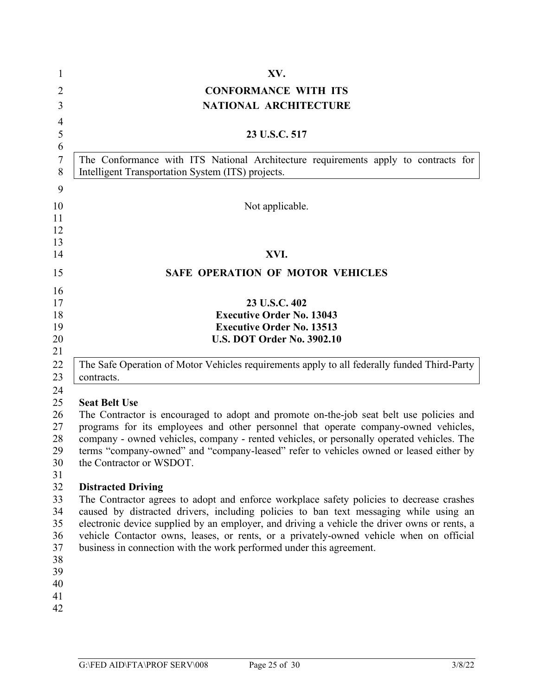<span id="page-26-3"></span><span id="page-26-2"></span><span id="page-26-1"></span><span id="page-26-0"></span>

| 1                     | XV.                                                                                                                                     |
|-----------------------|-----------------------------------------------------------------------------------------------------------------------------------------|
| $\overline{2}$        | <b>CONFORMANCE WITH ITS</b>                                                                                                             |
| 3                     | <b>NATIONAL ARCHITECTURE</b>                                                                                                            |
| $\overline{4}$        |                                                                                                                                         |
| 5                     | 23 U.S.C. 517                                                                                                                           |
| 6                     |                                                                                                                                         |
| $\boldsymbol{7}$<br>8 | The Conformance with ITS National Architecture requirements apply to contracts for<br>Intelligent Transportation System (ITS) projects. |
| 9                     |                                                                                                                                         |
| 10                    | Not applicable.                                                                                                                         |
| 11                    |                                                                                                                                         |
| 12                    |                                                                                                                                         |
| 13                    |                                                                                                                                         |
| 14                    | XVI.                                                                                                                                    |
| 15                    | <b>SAFE OPERATION OF MOTOR VEHICLES</b>                                                                                                 |
| 16                    |                                                                                                                                         |
| 17                    | 23 U.S.C. 402                                                                                                                           |
| 18                    | <b>Executive Order No. 13043</b>                                                                                                        |
| 19                    | <b>Executive Order No. 13513</b>                                                                                                        |
| 20                    | <b>U.S. DOT Order No. 3902.10</b>                                                                                                       |
| 21<br>22              | The Safe Operation of Motor Vehicles requirements apply to all federally funded Third-Party                                             |
| 23                    | contracts.                                                                                                                              |
| 24                    |                                                                                                                                         |
| 25                    | <b>Seat Belt Use</b>                                                                                                                    |
| 26                    | The Contractor is encouraged to adopt and promote on-the-job seat belt use policies and                                                 |
| 27                    | programs for its employees and other personnel that operate company-owned vehicles,                                                     |
| 28                    | company - owned vehicles, company - rented vehicles, or personally operated vehicles. The                                               |
| 29                    | terms "company-owned" and "company-leased" refer to vehicles owned or leased either by                                                  |
| 30                    | the Contractor or WSDOT.                                                                                                                |
| 31                    |                                                                                                                                         |
| 32                    | <b>Distracted Driving</b>                                                                                                               |
| 33                    | The Contractor agrees to adopt and enforce workplace safety policies to decrease crashes                                                |
| 34                    | caused by distracted drivers, including policies to ban text messaging while using an                                                   |
| 35                    | electronic device supplied by an employer, and driving a vehicle the driver owns or rents, a                                            |
| 36                    | vehicle Contactor owns, leases, or rents, or a privately-owned vehicle when on official                                                 |
| 37                    | business in connection with the work performed under this agreement.                                                                    |
| 38                    |                                                                                                                                         |
| 39                    |                                                                                                                                         |
| 40<br>41              |                                                                                                                                         |
| 42                    |                                                                                                                                         |
|                       |                                                                                                                                         |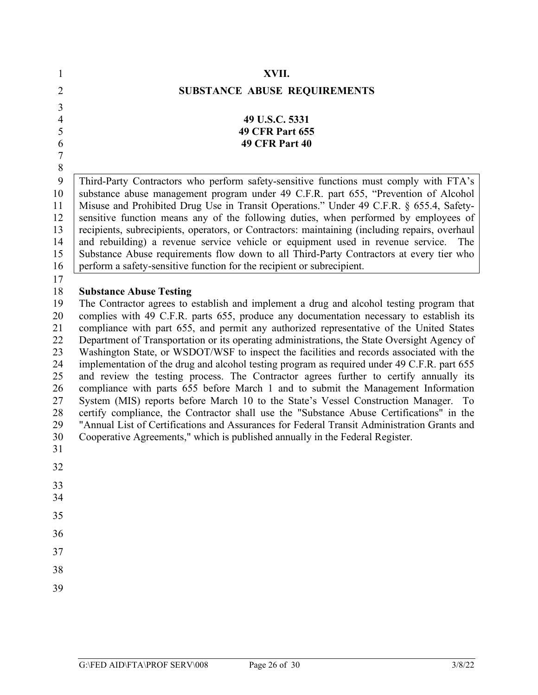<span id="page-27-1"></span><span id="page-27-0"></span>

| 1                                                                                      | XVII.                                                                                                                                                                                                                                                                                                                                                                                                                                                                                                                                                                                                                                                                                                                                                                                                                                                                                                                                                                                                                                                                                                                                                           |
|----------------------------------------------------------------------------------------|-----------------------------------------------------------------------------------------------------------------------------------------------------------------------------------------------------------------------------------------------------------------------------------------------------------------------------------------------------------------------------------------------------------------------------------------------------------------------------------------------------------------------------------------------------------------------------------------------------------------------------------------------------------------------------------------------------------------------------------------------------------------------------------------------------------------------------------------------------------------------------------------------------------------------------------------------------------------------------------------------------------------------------------------------------------------------------------------------------------------------------------------------------------------|
| $\overline{2}$                                                                         | <b>SUBSTANCE ABUSE REQUIREMENTS</b>                                                                                                                                                                                                                                                                                                                                                                                                                                                                                                                                                                                                                                                                                                                                                                                                                                                                                                                                                                                                                                                                                                                             |
| $\mathfrak{Z}$<br>$\overline{4}$<br>5<br>6<br>$\overline{7}$<br>$\overline{8}$         | 49 U.S.C. 5331<br><b>49 CFR Part 655</b><br><b>49 CFR Part 40</b>                                                                                                                                                                                                                                                                                                                                                                                                                                                                                                                                                                                                                                                                                                                                                                                                                                                                                                                                                                                                                                                                                               |
| $\mathbf{9}$<br>10<br>11<br>12<br>13<br>14<br>15<br>16                                 | Third-Party Contractors who perform safety-sensitive functions must comply with FTA's<br>substance abuse management program under 49 C.F.R. part 655, "Prevention of Alcohol<br>Misuse and Prohibited Drug Use in Transit Operations." Under 49 C.F.R. § 655.4, Safety-<br>sensitive function means any of the following duties, when performed by employees of<br>recipients, subrecipients, operators, or Contractors: maintaining (including repairs, overhaul<br>and rebuilding) a revenue service vehicle or equipment used in revenue service.<br>The<br>Substance Abuse requirements flow down to all Third-Party Contractors at every tier who<br>perform a safety-sensitive function for the recipient or subrecipient.                                                                                                                                                                                                                                                                                                                                                                                                                                |
| 17<br>18<br>19<br>20<br>21<br>22<br>23<br>24<br>25<br>26<br>27<br>28<br>29<br>30<br>31 | <b>Substance Abuse Testing</b><br>The Contractor agrees to establish and implement a drug and alcohol testing program that<br>complies with 49 C.F.R. parts 655, produce any documentation necessary to establish its<br>compliance with part 655, and permit any authorized representative of the United States<br>Department of Transportation or its operating administrations, the State Oversight Agency of<br>Washington State, or WSDOT/WSF to inspect the facilities and records associated with the<br>implementation of the drug and alcohol testing program as required under 49 C.F.R. part 655<br>and review the testing process. The Contractor agrees further to certify annually its<br>compliance with parts 655 before March 1 and to submit the Management Information<br>System (MIS) reports before March 10 to the State's Vessel Construction Manager.<br>To<br>certify compliance, the Contractor shall use the "Substance Abuse Certifications" in the<br>"Annual List of Certifications and Assurances for Federal Transit Administration Grants and<br>Cooperative Agreements," which is published annually in the Federal Register. |
| 32<br>33                                                                               |                                                                                                                                                                                                                                                                                                                                                                                                                                                                                                                                                                                                                                                                                                                                                                                                                                                                                                                                                                                                                                                                                                                                                                 |
| 34                                                                                     |                                                                                                                                                                                                                                                                                                                                                                                                                                                                                                                                                                                                                                                                                                                                                                                                                                                                                                                                                                                                                                                                                                                                                                 |
| 35<br>36                                                                               |                                                                                                                                                                                                                                                                                                                                                                                                                                                                                                                                                                                                                                                                                                                                                                                                                                                                                                                                                                                                                                                                                                                                                                 |
| 37                                                                                     |                                                                                                                                                                                                                                                                                                                                                                                                                                                                                                                                                                                                                                                                                                                                                                                                                                                                                                                                                                                                                                                                                                                                                                 |
| 38                                                                                     |                                                                                                                                                                                                                                                                                                                                                                                                                                                                                                                                                                                                                                                                                                                                                                                                                                                                                                                                                                                                                                                                                                                                                                 |
| 39                                                                                     |                                                                                                                                                                                                                                                                                                                                                                                                                                                                                                                                                                                                                                                                                                                                                                                                                                                                                                                                                                                                                                                                                                                                                                 |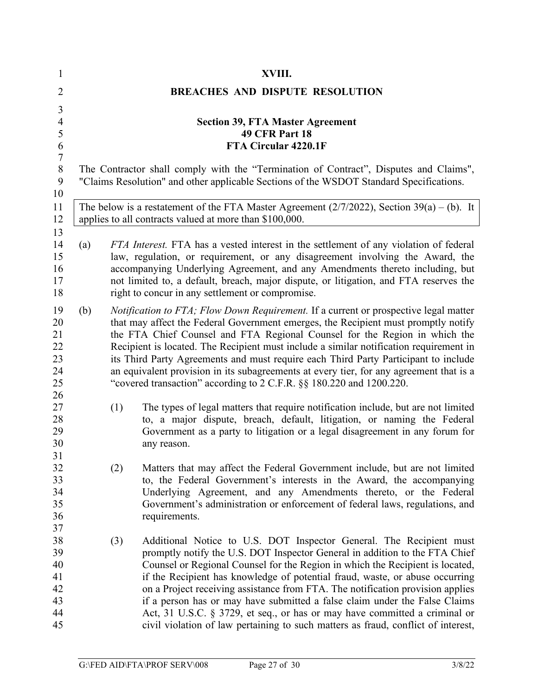<span id="page-28-1"></span><span id="page-28-0"></span>

| 1                                                         |                                                                                                                                                                                  |     | XVIII.                                                                                                                                                                                                                                                                                                                                                                                                                                                                                                                                                                                                                                                 |  |  |  |  |
|-----------------------------------------------------------|----------------------------------------------------------------------------------------------------------------------------------------------------------------------------------|-----|--------------------------------------------------------------------------------------------------------------------------------------------------------------------------------------------------------------------------------------------------------------------------------------------------------------------------------------------------------------------------------------------------------------------------------------------------------------------------------------------------------------------------------------------------------------------------------------------------------------------------------------------------------|--|--|--|--|
| 2                                                         | <b>BREACHES AND DISPUTE RESOLUTION</b>                                                                                                                                           |     |                                                                                                                                                                                                                                                                                                                                                                                                                                                                                                                                                                                                                                                        |  |  |  |  |
| 3<br>$\overline{\mathcal{A}}$<br>5<br>6<br>$\overline{7}$ | <b>Section 39, FTA Master Agreement</b><br><b>49 CFR Part 18</b><br>FTA Circular 4220.1F                                                                                         |     |                                                                                                                                                                                                                                                                                                                                                                                                                                                                                                                                                                                                                                                        |  |  |  |  |
| $\,8\,$<br>9<br>10                                        | The Contractor shall comply with the "Termination of Contract", Disputes and Claims",<br>"Claims Resolution" and other applicable Sections of the WSDOT Standard Specifications. |     |                                                                                                                                                                                                                                                                                                                                                                                                                                                                                                                                                                                                                                                        |  |  |  |  |
| 11<br>12                                                  | The below is a restatement of the FTA Master Agreement $(2/7/2022)$ , Section 39(a) – (b). It<br>applies to all contracts valued at more than \$100,000.                         |     |                                                                                                                                                                                                                                                                                                                                                                                                                                                                                                                                                                                                                                                        |  |  |  |  |
| 13<br>14<br>15<br>16<br>17<br>18                          | (a)                                                                                                                                                                              |     | FTA Interest. FTA has a vested interest in the settlement of any violation of federal<br>law, regulation, or requirement, or any disagreement involving the Award, the<br>accompanying Underlying Agreement, and any Amendments thereto including, but<br>not limited to, a default, breach, major dispute, or litigation, and FTA reserves the<br>right to concur in any settlement or compromise.                                                                                                                                                                                                                                                    |  |  |  |  |
| 19<br>20<br>21<br>22<br>23<br>24<br>25                    | (b)                                                                                                                                                                              |     | Notification to FTA; Flow Down Requirement. If a current or prospective legal matter<br>that may affect the Federal Government emerges, the Recipient must promptly notify<br>the FTA Chief Counsel and FTA Regional Counsel for the Region in which the<br>Recipient is located. The Recipient must include a similar notification requirement in<br>its Third Party Agreements and must require each Third Party Participant to include<br>an equivalent provision in its subagreements at every tier, for any agreement that is a<br>"covered transaction" according to 2 C.F.R. §§ 180.220 and 1200.220.                                           |  |  |  |  |
| 26<br>27<br>28<br>29<br>30<br>31                          |                                                                                                                                                                                  | (1) | The types of legal matters that require notification include, but are not limited<br>to, a major dispute, breach, default, litigation, or naming the Federal<br>Government as a party to litigation or a legal disagreement in any forum for<br>any reason.                                                                                                                                                                                                                                                                                                                                                                                            |  |  |  |  |
| 32<br>33<br>34<br>35<br>36<br>37                          |                                                                                                                                                                                  | (2) | Matters that may affect the Federal Government include, but are not limited<br>to, the Federal Government's interests in the Award, the accompanying<br>Underlying Agreement, and any Amendments thereto, or the Federal<br>Government's administration or enforcement of federal laws, regulations, and<br>requirements.                                                                                                                                                                                                                                                                                                                              |  |  |  |  |
| 38<br>39<br>40<br>41<br>42<br>43<br>44<br>45              |                                                                                                                                                                                  | (3) | Additional Notice to U.S. DOT Inspector General. The Recipient must<br>promptly notify the U.S. DOT Inspector General in addition to the FTA Chief<br>Counsel or Regional Counsel for the Region in which the Recipient is located,<br>if the Recipient has knowledge of potential fraud, waste, or abuse occurring<br>on a Project receiving assistance from FTA. The notification provision applies<br>if a person has or may have submitted a false claim under the False Claims<br>Act, 31 U.S.C. § 3729, et seq., or has or may have committed a criminal or<br>civil violation of law pertaining to such matters as fraud, conflict of interest, |  |  |  |  |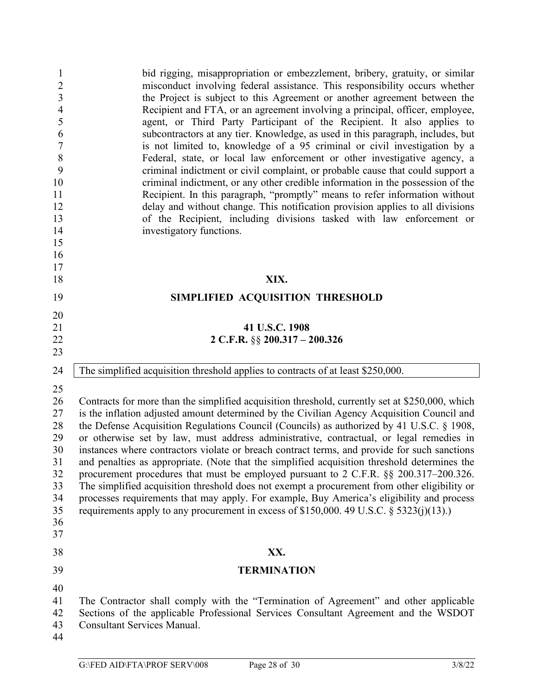<span id="page-29-1"></span><span id="page-29-0"></span>

| $\mathbf{1}$<br>$\boldsymbol{2}$ | bid rigging, misappropriation or embezzlement, bribery, gratuity, or similar<br>misconduct involving federal assistance. This responsibility occurs whether                                                       |
|----------------------------------|-------------------------------------------------------------------------------------------------------------------------------------------------------------------------------------------------------------------|
| $\overline{3}$                   | the Project is subject to this Agreement or another agreement between the                                                                                                                                         |
| $\overline{4}$                   | Recipient and FTA, or an agreement involving a principal, officer, employee,                                                                                                                                      |
| 5<br>6                           | agent, or Third Party Participant of the Recipient. It also applies to<br>subcontractors at any tier. Knowledge, as used in this paragraph, includes, but                                                         |
| $\tau$                           | is not limited to, knowledge of a 95 criminal or civil investigation by a                                                                                                                                         |
| $\,8\,$                          | Federal, state, or local law enforcement or other investigative agency, a                                                                                                                                         |
| 9                                | criminal indictment or civil complaint, or probable cause that could support a                                                                                                                                    |
| 10                               | criminal indictment, or any other credible information in the possession of the                                                                                                                                   |
| 11                               | Recipient. In this paragraph, "promptly" means to refer information without                                                                                                                                       |
| 12<br>13                         | delay and without change. This notification provision applies to all divisions                                                                                                                                    |
| 14                               | of the Recipient, including divisions tasked with law enforcement or<br>investigatory functions.                                                                                                                  |
| 15                               |                                                                                                                                                                                                                   |
| 16                               |                                                                                                                                                                                                                   |
| 17                               |                                                                                                                                                                                                                   |
| 18                               | XIX.                                                                                                                                                                                                              |
| 19                               | SIMPLIFIED ACQUISITION THRESHOLD                                                                                                                                                                                  |
| 20                               |                                                                                                                                                                                                                   |
| 21<br>22                         | 41 U.S.C. 1908<br>2 C.F.R. $\S$ 200.317 - 200.326                                                                                                                                                                 |
| 23                               |                                                                                                                                                                                                                   |
| 24                               | The simplified acquisition threshold applies to contracts of at least \$250,000.                                                                                                                                  |
| 25                               |                                                                                                                                                                                                                   |
| 26                               | Contracts for more than the simplified acquisition threshold, currently set at \$250,000, which                                                                                                                   |
| 27                               | is the inflation adjusted amount determined by the Civilian Agency Acquisition Council and                                                                                                                        |
| 28                               | the Defense Acquisition Regulations Council (Councils) as authorized by 41 U.S.C. § 1908,                                                                                                                         |
| 29                               | or otherwise set by law, must address administrative, contractual, or legal remedies in                                                                                                                           |
| 30                               | instances where contractors violate or breach contract terms, and provide for such sanctions                                                                                                                      |
| 31                               | and penalties as appropriate. (Note that the simplified acquisition threshold determines the                                                                                                                      |
| 32<br>33                         | procurement procedures that must be employed pursuant to 2 C.F.R. §§ 200.317-200.326.<br>The simplified acquisition threshold does not exempt a procurement from other eligibility or                             |
| 34                               | processes requirements that may apply. For example, Buy America's eligibility and process                                                                                                                         |
| 35                               | requirements apply to any procurement in excess of \$150,000. 49 U.S.C. $\S$ 5323(j)(13).)                                                                                                                        |
| 36                               |                                                                                                                                                                                                                   |
| 37                               |                                                                                                                                                                                                                   |
| 38                               | XX.                                                                                                                                                                                                               |
| 39                               | <b>TERMINATION</b>                                                                                                                                                                                                |
| 40<br>41<br>42<br>43<br>44       | The Contractor shall comply with the "Termination of Agreement" and other applicable<br>Sections of the applicable Professional Services Consultant Agreement and the WSDOT<br><b>Consultant Services Manual.</b> |
|                                  |                                                                                                                                                                                                                   |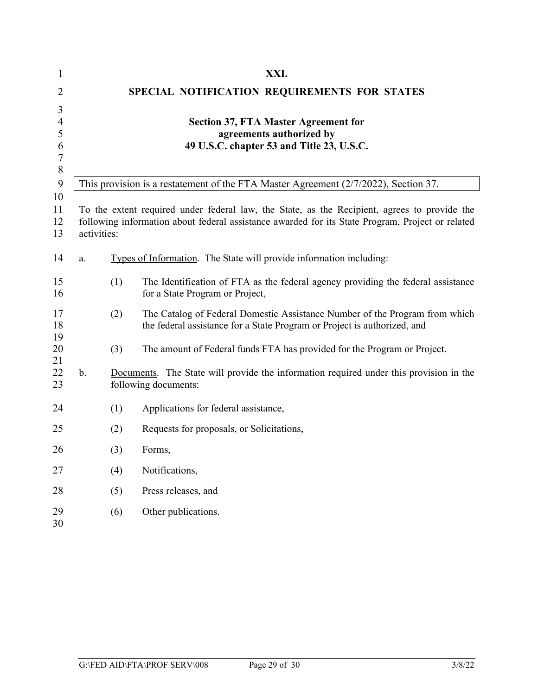<span id="page-30-1"></span><span id="page-30-0"></span>

| 1                             |               |     | XXI.                                                                                                                                                                                             |
|-------------------------------|---------------|-----|--------------------------------------------------------------------------------------------------------------------------------------------------------------------------------------------------|
| 2                             |               |     | SPECIAL NOTIFICATION REQUIREMENTS FOR STATES                                                                                                                                                     |
| 3<br>$\overline{\mathcal{A}}$ |               |     | <b>Section 37, FTA Master Agreement for</b>                                                                                                                                                      |
| 5                             |               |     | agreements authorized by                                                                                                                                                                         |
| 6                             |               |     | 49 U.S.C. chapter 53 and Title 23, U.S.C.                                                                                                                                                        |
| $\overline{7}$                |               |     |                                                                                                                                                                                                  |
| $\, 8$                        |               |     |                                                                                                                                                                                                  |
| 9                             |               |     | This provision is a restatement of the FTA Master Agreement (2/7/2022), Section 37.                                                                                                              |
| 10                            |               |     |                                                                                                                                                                                                  |
| 11<br>12                      |               |     | To the extent required under federal law, the State, as the Recipient, agrees to provide the<br>following information about federal assistance awarded for its State Program, Project or related |
| 13                            | activities:   |     |                                                                                                                                                                                                  |
|                               |               |     |                                                                                                                                                                                                  |
| 14                            | a.            |     | Types of Information. The State will provide information including:                                                                                                                              |
| 15<br>16                      |               | (1) | The Identification of FTA as the federal agency providing the federal assistance<br>for a State Program or Project,                                                                              |
| 17<br>18                      |               | (2) | The Catalog of Federal Domestic Assistance Number of the Program from which<br>the federal assistance for a State Program or Project is authorized, and                                          |
| 19<br>20<br>21                |               | (3) | The amount of Federal funds FTA has provided for the Program or Project.                                                                                                                         |
| 22<br>23                      | $\mathbf b$ . |     | Documents. The State will provide the information required under this provision in the<br>following documents:                                                                                   |
| 24                            |               | (1) | Applications for federal assistance,                                                                                                                                                             |
| 25                            |               | (2) | Requests for proposals, or Solicitations,                                                                                                                                                        |
| 26                            |               | (3) | Forms,                                                                                                                                                                                           |
| 27                            |               | (4) | Notifications,                                                                                                                                                                                   |
| 28                            |               | (5) | Press releases, and                                                                                                                                                                              |
| 29<br>30                      |               | (6) | Other publications.                                                                                                                                                                              |